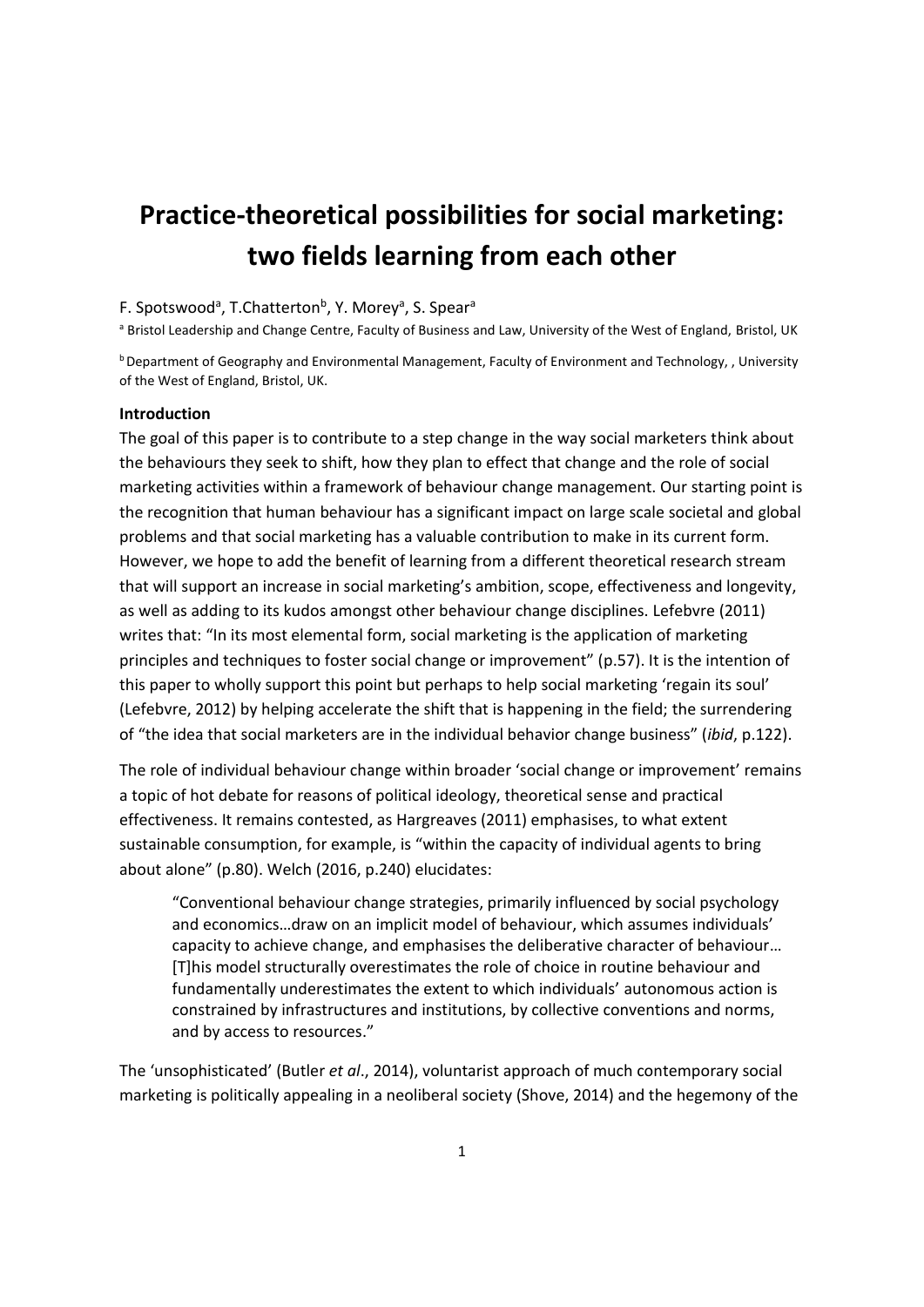# **Practice-theoretical possibilities for social marketing: two fields learning from each other**

# F. Spotswood<sup>a</sup>, T.Chatterton<sup>b</sup>, Y. Morey<sup>a</sup>, S. Spear<sup>a</sup>

a Bristol Leadership and Change Centre, Faculty of Business and Law, University of the West of England, Bristol, UK

<sup>b</sup> Department of Geography and Environmental Management, Faculty of Environment and Technology, , University of the West of England, Bristol, UK.

#### **Introduction**

The goal of this paper is to contribute to a step change in the way social marketers think about the behaviours they seek to shift, how they plan to effect that change and the role of social marketing activities within a framework of behaviour change management. Our starting point is the recognition that human behaviour has a significant impact on large scale societal and global problems and that social marketing has a valuable contribution to make in its current form. However, we hope to add the benefit of learning from a different theoretical research stream that will support an increase in social marketing's ambition, scope, effectiveness and longevity, as well as adding to its kudos amongst other behaviour change disciplines. Lefebvre (2011) writes that: "In its most elemental form, social marketing is the application of marketing principles and techniques to foster social change or improvement" (p.57). It is the intention of this paper to wholly support this point but perhaps to help social marketing 'regain its soul' (Lefebvre, 2012) by helping accelerate the shift that is happening in the field; the surrendering of "the idea that social marketers are in the individual behavior change business" (*ibid*, p.122).

The role of individual behaviour change within broader 'social change or improvement' remains a topic of hot debate for reasons of political ideology, theoretical sense and practical effectiveness. It remains contested, as Hargreaves (2011) emphasises, to what extent sustainable consumption, for example, is "within the capacity of individual agents to bring about alone" (p.80). Welch (2016, p.240) elucidates:

"Conventional behaviour change strategies, primarily influenced by social psychology and economics…draw on an implicit model of behaviour, which assumes individuals' capacity to achieve change, and emphasises the deliberative character of behaviour… [T]his model structurally overestimates the role of choice in routine behaviour and fundamentally underestimates the extent to which individuals' autonomous action is constrained by infrastructures and institutions, by collective conventions and norms, and by access to resources."

The 'unsophisticated' (Butler *et al*., 2014), voluntarist approach of much contemporary social marketing is politically appealing in a neoliberal society (Shove, 2014) and the hegemony of the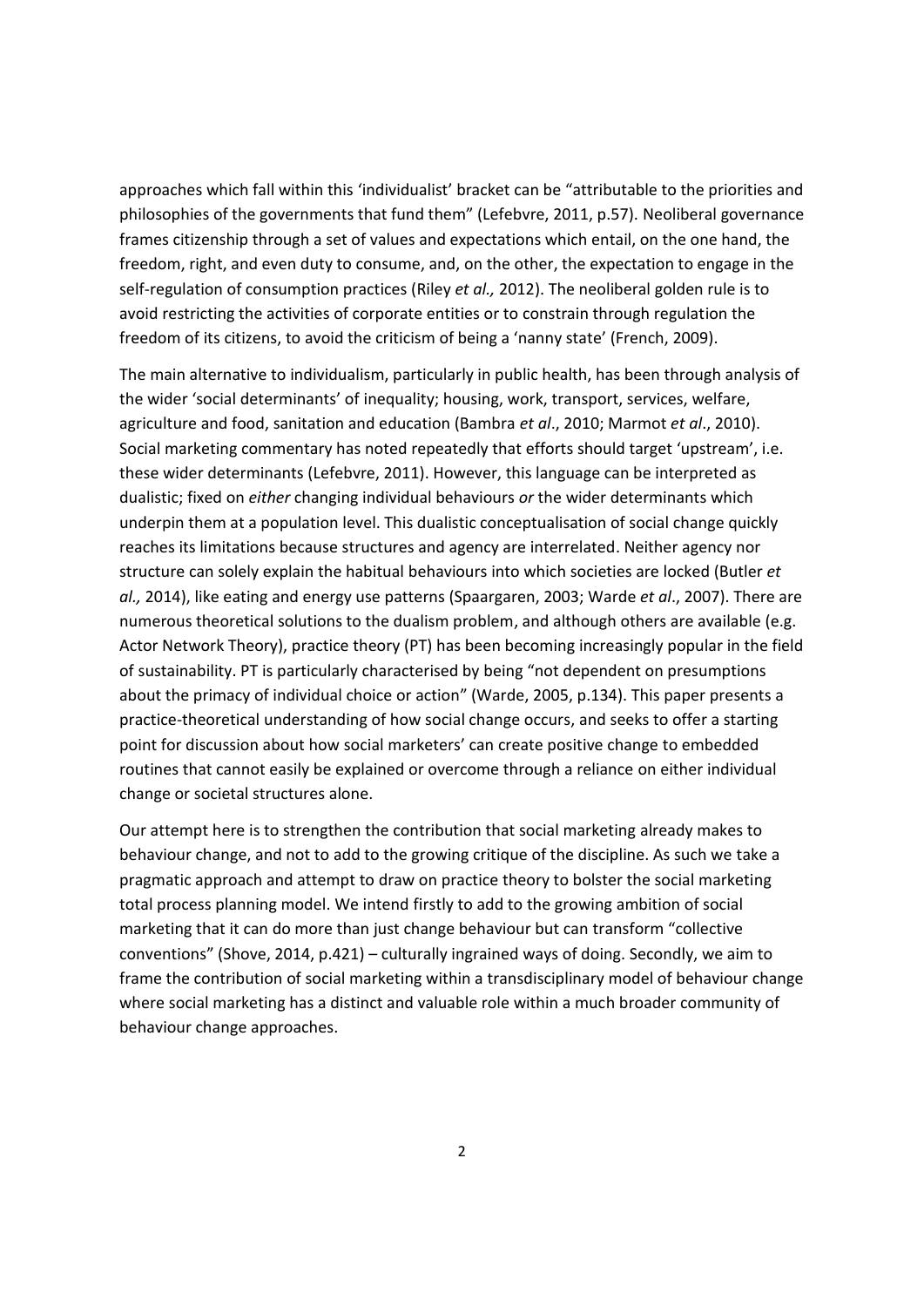approaches which fall within this 'individualist' bracket can be "attributable to the priorities and philosophies of the governments that fund them" (Lefebvre, 2011, p.57). Neoliberal governance frames citizenship through a set of values and expectations which entail, on the one hand, the freedom, right, and even duty to consume, and, on the other, the expectation to engage in the self-regulation of consumption practices (Riley *et al.,* 2012). The neoliberal golden rule is to avoid restricting the activities of corporate entities or to constrain through regulation the freedom of its citizens, to avoid the criticism of being a 'nanny state' (French, 2009).

The main alternative to individualism, particularly in public health, has been through analysis of the wider 'social determinants' of inequality; housing, work, transport, services, welfare, agriculture and food, sanitation and education (Bambra *et al*., 2010; Marmot *et al*., 2010). Social marketing commentary has noted repeatedly that efforts should target 'upstream', i.e. these wider determinants (Lefebvre, 2011). However, this language can be interpreted as dualistic; fixed on *either* changing individual behaviours *or* the wider determinants which underpin them at a population level. This dualistic conceptualisation of social change quickly reaches its limitations because structures and agency are interrelated. Neither agency nor structure can solely explain the habitual behaviours into which societies are locked (Butler *et al.,* 2014), like eating and energy use patterns (Spaargaren, 2003; Warde *et al*., 2007). There are numerous theoretical solutions to the dualism problem, and although others are available (e.g. Actor Network Theory), practice theory (PT) has been becoming increasingly popular in the field of sustainability. PT is particularly characterised by being "not dependent on presumptions about the primacy of individual choice or action" (Warde, 2005, p.134). This paper presents a practice-theoretical understanding of how social change occurs, and seeks to offer a starting point for discussion about how social marketers' can create positive change to embedded routines that cannot easily be explained or overcome through a reliance on either individual change or societal structures alone.

Our attempt here is to strengthen the contribution that social marketing already makes to behaviour change, and not to add to the growing critique of the discipline. As such we take a pragmatic approach and attempt to draw on practice theory to bolster the social marketing total process planning model. We intend firstly to add to the growing ambition of social marketing that it can do more than just change behaviour but can transform "collective conventions" (Shove, 2014, p.421) – culturally ingrained ways of doing. Secondly, we aim to frame the contribution of social marketing within a transdisciplinary model of behaviour change where social marketing has a distinct and valuable role within a much broader community of behaviour change approaches.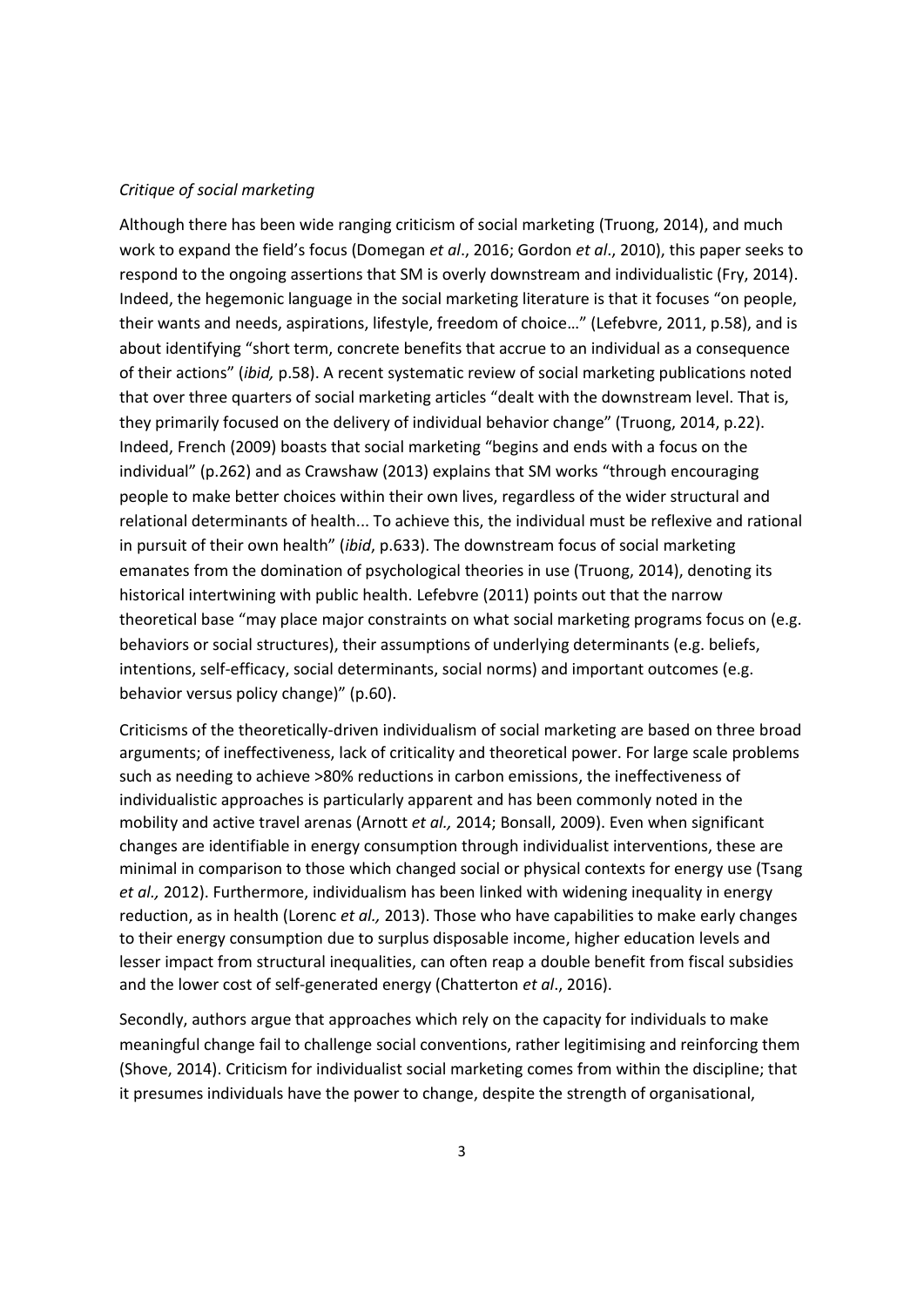### *Critique of social marketing*

Although there has been wide ranging criticism of social marketing (Truong, 2014), and much work to expand the field's focus (Domegan *et al*., 2016; Gordon *et al*., 2010), this paper seeks to respond to the ongoing assertions that SM is overly downstream and individualistic (Fry, 2014). Indeed, the hegemonic language in the social marketing literature is that it focuses "on people, their wants and needs, aspirations, lifestyle, freedom of choice…" (Lefebvre, 2011, p.58), and is about identifying "short term, concrete benefits that accrue to an individual as a consequence of their actions" (*ibid,* p.58). A recent systematic review of social marketing publications noted that over three quarters of social marketing articles "dealt with the downstream level. That is, they primarily focused on the delivery of individual behavior change" (Truong, 2014, p.22). Indeed, French (2009) boasts that social marketing "begins and ends with a focus on the individual" (p.262) and as Crawshaw (2013) explains that SM works "through encouraging people to make better choices within their own lives, regardless of the wider structural and relational determinants of health... To achieve this, the individual must be reflexive and rational in pursuit of their own health" (*ibid*, p.633). The downstream focus of social marketing emanates from the domination of psychological theories in use (Truong, 2014), denoting its historical intertwining with public health. Lefebvre (2011) points out that the narrow theoretical base "may place major constraints on what social marketing programs focus on (e.g. behaviors or social structures), their assumptions of underlying determinants (e.g. beliefs, intentions, self-efficacy, social determinants, social norms) and important outcomes (e.g. behavior versus policy change)" (p.60).

Criticisms of the theoretically-driven individualism of social marketing are based on three broad arguments; of ineffectiveness, lack of criticality and theoretical power. For large scale problems such as needing to achieve >80% reductions in carbon emissions, the ineffectiveness of individualistic approaches is particularly apparent and has been commonly noted in the mobility and active travel arenas (Arnott *et al.,* 2014; Bonsall, 2009). Even when significant changes are identifiable in energy consumption through individualist interventions, these are minimal in comparison to those which changed social or physical contexts for energy use (Tsang *et al.,* 2012). Furthermore, individualism has been linked with widening inequality in energy reduction, as in health (Lorenc *et al.,* 2013). Those who have capabilities to make early changes to their energy consumption due to surplus disposable income, higher education levels and lesser impact from structural inequalities, can often reap a double benefit from fiscal subsidies and the lower cost of self-generated energy (Chatterton *et al*., 2016).

Secondly, authors argue that approaches which rely on the capacity for individuals to make meaningful change fail to challenge social conventions, rather legitimising and reinforcing them (Shove, 2014). Criticism for individualist social marketing comes from within the discipline; that it presumes individuals have the power to change, despite the strength of organisational,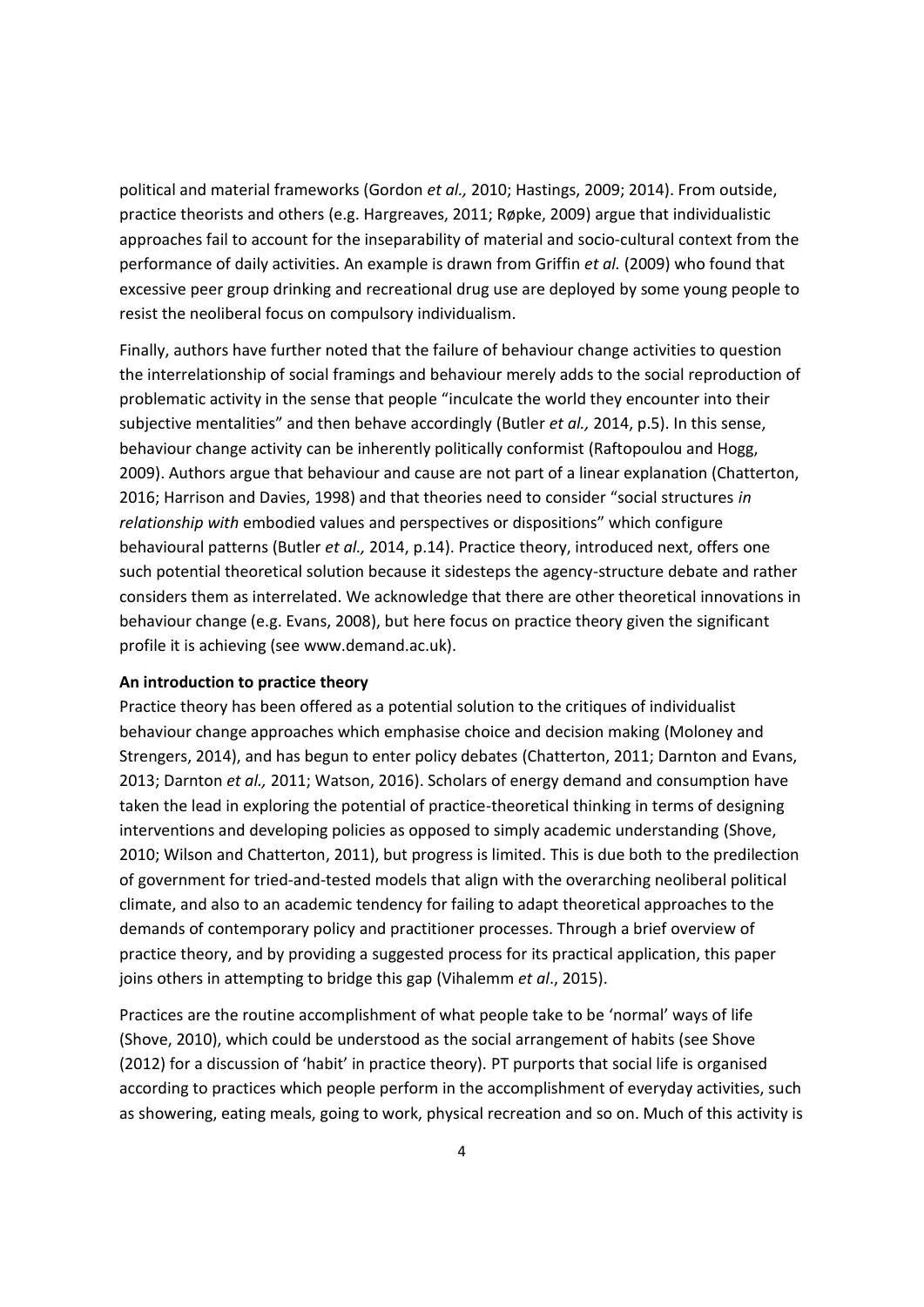political and material frameworks (Gordon *et al.,* 2010; Hastings, 2009; 2014). From outside, practice theorists and others (e.g. Hargreaves, 2011; Røpke, 2009) argue that individualistic approaches fail to account for the inseparability of material and socio-cultural context from the performance of daily activities. An example is drawn from Griffin *et al.* (2009) who found that excessive peer group drinking and recreational drug use are deployed by some young people to resist the neoliberal focus on compulsory individualism.

Finally, authors have further noted that the failure of behaviour change activities to question the interrelationship of social framings and behaviour merely adds to the social reproduction of problematic activity in the sense that people "inculcate the world they encounter into their subjective mentalities" and then behave accordingly (Butler *et al.,* 2014, p.5). In this sense, behaviour change activity can be inherently politically conformist (Raftopoulou and Hogg, 2009). Authors argue that behaviour and cause are not part of a linear explanation (Chatterton, 2016; Harrison and Davies, 1998) and that theories need to consider "social structures *in relationship with* embodied values and perspectives or dispositions" which configure behavioural patterns (Butler *et al.,* 2014, p.14). Practice theory, introduced next, offers one such potential theoretical solution because it sidesteps the agency-structure debate and rather considers them as interrelated. We acknowledge that there are other theoretical innovations in behaviour change (e.g. Evans, 2008), but here focus on practice theory given the significant profile it is achieving (see www.demand.ac.uk).

#### **An introduction to practice theory**

Practice theory has been offered as a potential solution to the critiques of individualist behaviour change approaches which emphasise choice and decision making (Moloney and Strengers, 2014), and has begun to enter policy debates (Chatterton, 2011; Darnton and Evans, 2013; Darnton *et al.,* 2011; Watson, 2016). Scholars of energy demand and consumption have taken the lead in exploring the potential of practice-theoretical thinking in terms of designing interventions and developing policies as opposed to simply academic understanding (Shove, 2010; Wilson and Chatterton, 2011), but progress is limited. This is due both to the predilection of government for tried-and-tested models that align with the overarching neoliberal political climate, and also to an academic tendency for failing to adapt theoretical approaches to the demands of contemporary policy and practitioner processes. Through a brief overview of practice theory, and by providing a suggested process for its practical application, this paper joins others in attempting to bridge this gap (Vihalemm *et al*., 2015).

Practices are the routine accomplishment of what people take to be 'normal' ways of life (Shove, 2010), which could be understood as the social arrangement of habits (see Shove (2012) for a discussion of 'habit' in practice theory). PT purports that social life is organised according to practices which people perform in the accomplishment of everyday activities, such as showering, eating meals, going to work, physical recreation and so on. Much of this activity is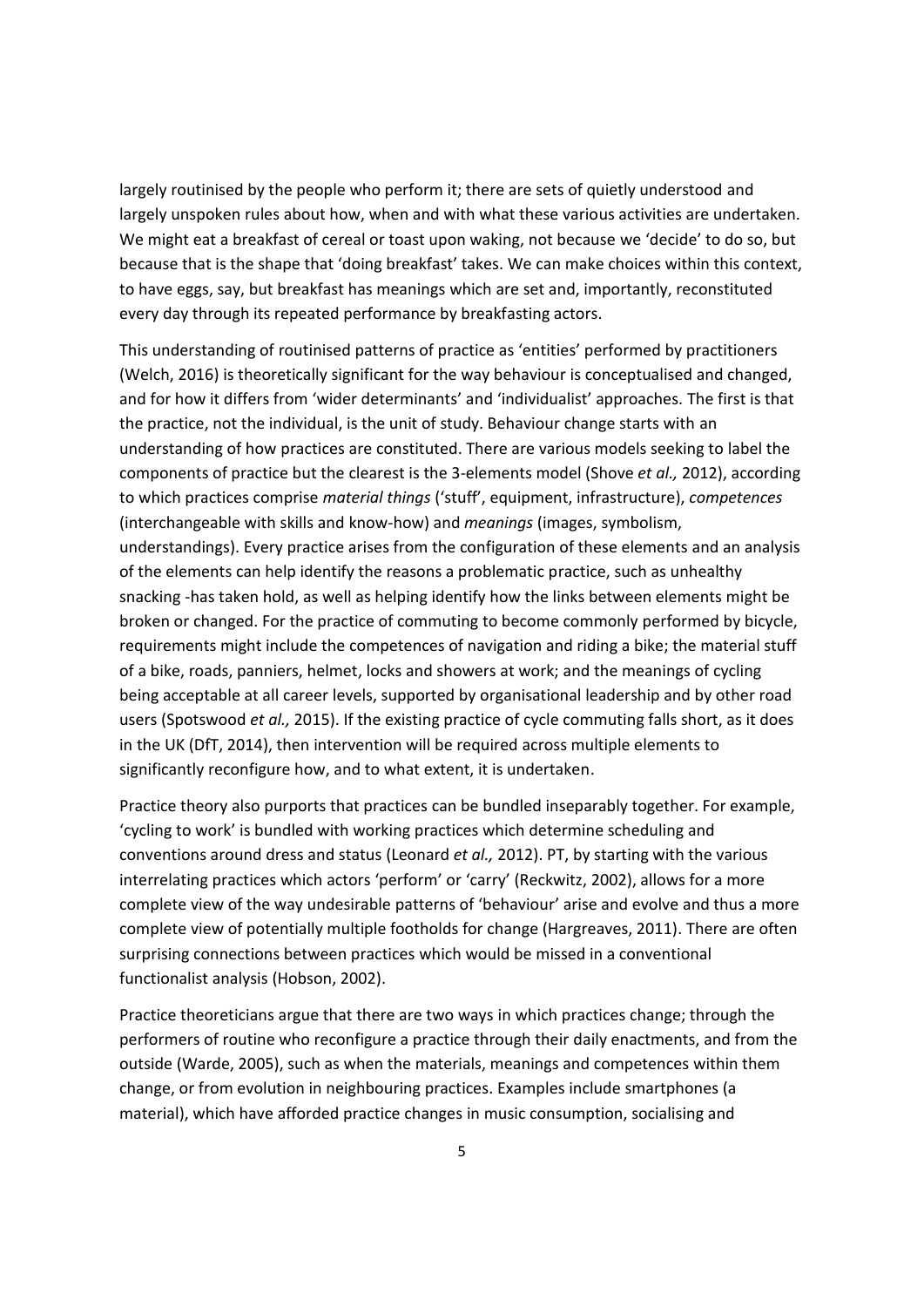largely routinised by the people who perform it; there are sets of quietly understood and largely unspoken rules about how, when and with what these various activities are undertaken. We might eat a breakfast of cereal or toast upon waking, not because we 'decide' to do so, but because that is the shape that 'doing breakfast' takes. We can make choices within this context, to have eggs, say, but breakfast has meanings which are set and, importantly, reconstituted every day through its repeated performance by breakfasting actors.

This understanding of routinised patterns of practice as 'entities' performed by practitioners (Welch, 2016) is theoretically significant for the way behaviour is conceptualised and changed, and for how it differs from 'wider determinants' and 'individualist' approaches. The first is that the practice, not the individual, is the unit of study. Behaviour change starts with an understanding of how practices are constituted. There are various models seeking to label the components of practice but the clearest is the 3-elements model (Shove *et al.,* 2012), according to which practices comprise *material things* ('stuff', equipment, infrastructure), *competences* (interchangeable with skills and know-how) and *meanings* (images, symbolism, understandings). Every practice arises from the configuration of these elements and an analysis of the elements can help identify the reasons a problematic practice, such as unhealthy snacking -has taken hold, as well as helping identify how the links between elements might be broken or changed. For the practice of commuting to become commonly performed by bicycle, requirements might include the competences of navigation and riding a bike; the material stuff of a bike, roads, panniers, helmet, locks and showers at work; and the meanings of cycling being acceptable at all career levels, supported by organisational leadership and by other road users (Spotswood *et al.,* 2015). If the existing practice of cycle commuting falls short, as it does in the UK (DfT, 2014), then intervention will be required across multiple elements to significantly reconfigure how, and to what extent, it is undertaken.

Practice theory also purports that practices can be bundled inseparably together. For example, 'cycling to work' is bundled with working practices which determine scheduling and conventions around dress and status (Leonard *et al.,* 2012). PT, by starting with the various interrelating practices which actors 'perform' or 'carry' (Reckwitz, 2002), allows for a more complete view of the way undesirable patterns of 'behaviour' arise and evolve and thus a more complete view of potentially multiple footholds for change (Hargreaves, 2011). There are often surprising connections between practices which would be missed in a conventional functionalist analysis (Hobson, 2002).

Practice theoreticians argue that there are two ways in which practices change; through the performers of routine who reconfigure a practice through their daily enactments, and from the outside (Warde, 2005), such as when the materials, meanings and competences within them change, or from evolution in neighbouring practices. Examples include smartphones (a material), which have afforded practice changes in music consumption, socialising and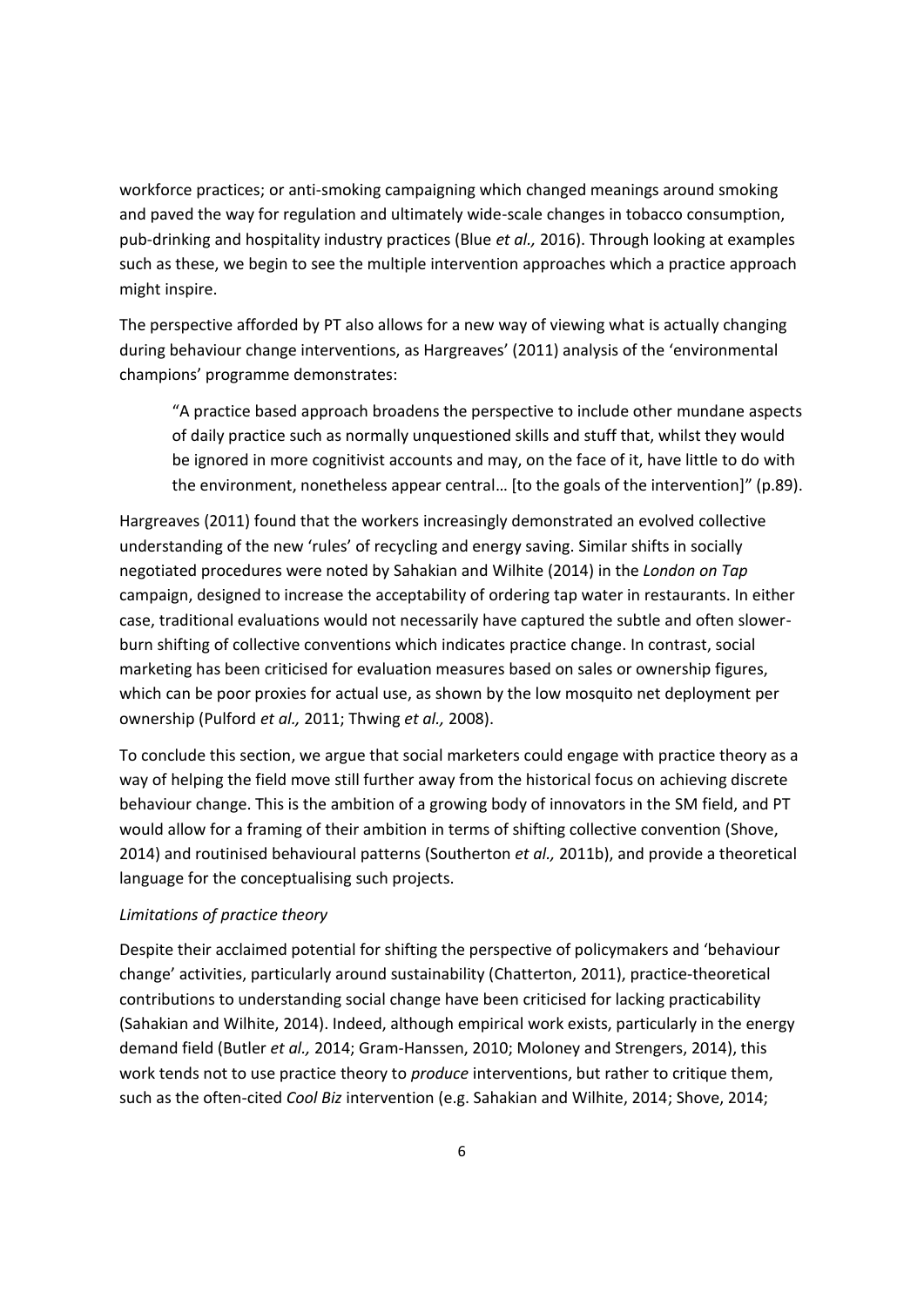workforce practices; or anti-smoking campaigning which changed meanings around smoking and paved the way for regulation and ultimately wide-scale changes in tobacco consumption, pub-drinking and hospitality industry practices (Blue *et al.,* 2016). Through looking at examples such as these, we begin to see the multiple intervention approaches which a practice approach might inspire.

The perspective afforded by PT also allows for a new way of viewing what is actually changing during behaviour change interventions, as Hargreaves' (2011) analysis of the 'environmental champions' programme demonstrates:

"A practice based approach broadens the perspective to include other mundane aspects of daily practice such as normally unquestioned skills and stuff that, whilst they would be ignored in more cognitivist accounts and may, on the face of it, have little to do with the environment, nonetheless appear central… [to the goals of the intervention]" (p.89).

Hargreaves (2011) found that the workers increasingly demonstrated an evolved collective understanding of the new 'rules' of recycling and energy saving. Similar shifts in socially negotiated procedures were noted by Sahakian and Wilhite (2014) in the *London on Tap* campaign, designed to increase the acceptability of ordering tap water in restaurants. In either case, traditional evaluations would not necessarily have captured the subtle and often slowerburn shifting of collective conventions which indicates practice change. In contrast, social marketing has been criticised for evaluation measures based on sales or ownership figures, which can be poor proxies for actual use, as shown by the low mosquito net deployment per ownership (Pulford *et al.,* 2011; Thwing *et al.,* 2008).

To conclude this section, we argue that social marketers could engage with practice theory as a way of helping the field move still further away from the historical focus on achieving discrete behaviour change. This is the ambition of a growing body of innovators in the SM field, and PT would allow for a framing of their ambition in terms of shifting collective convention (Shove, 2014) and routinised behavioural patterns (Southerton *et al.,* 2011b), and provide a theoretical language for the conceptualising such projects.

## *Limitations of practice theory*

Despite their acclaimed potential for shifting the perspective of policymakers and 'behaviour change' activities, particularly around sustainability (Chatterton, 2011), practice-theoretical contributions to understanding social change have been criticised for lacking practicability (Sahakian and Wilhite, 2014). Indeed, although empirical work exists, particularly in the energy demand field (Butler *et al.,* 2014; Gram-Hanssen, 2010; Moloney and Strengers, 2014), this work tends not to use practice theory to *produce* interventions, but rather to critique them, such as the often-cited *Cool Biz* intervention (e.g. Sahakian and Wilhite, 2014; Shove, 2014;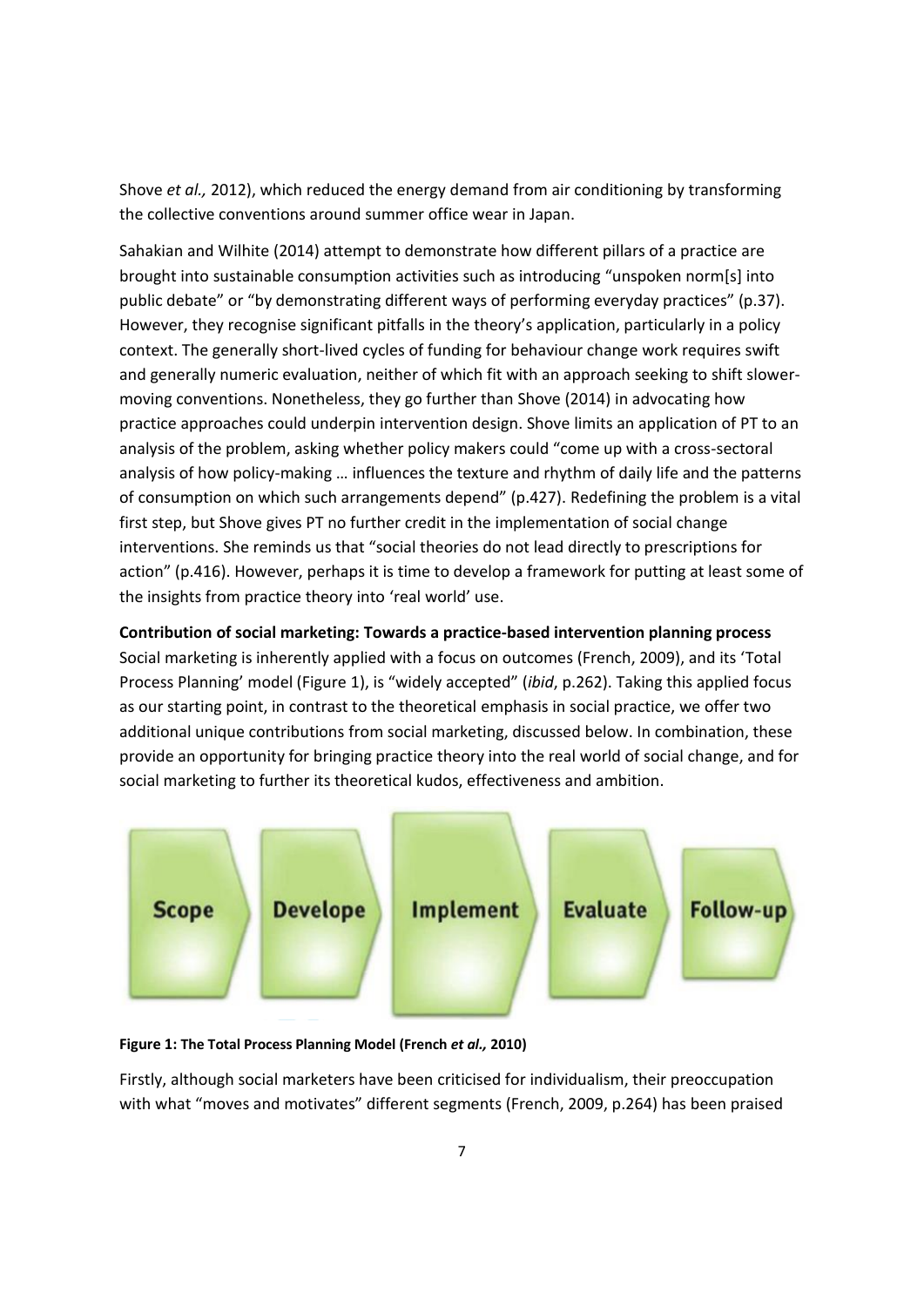Shove *et al.,* 2012), which reduced the energy demand from air conditioning by transforming the collective conventions around summer office wear in Japan.

Sahakian and Wilhite (2014) attempt to demonstrate how different pillars of a practice are brought into sustainable consumption activities such as introducing "unspoken norm[s] into public debate" or "by demonstrating different ways of performing everyday practices" (p.37). However, they recognise significant pitfalls in the theory's application, particularly in a policy context. The generally short-lived cycles of funding for behaviour change work requires swift and generally numeric evaluation, neither of which fit with an approach seeking to shift slowermoving conventions. Nonetheless, they go further than Shove (2014) in advocating how practice approaches could underpin intervention design. Shove limits an application of PT to an analysis of the problem, asking whether policy makers could "come up with a cross-sectoral analysis of how policy-making … influences the texture and rhythm of daily life and the patterns of consumption on which such arrangements depend" (p.427). Redefining the problem is a vital first step, but Shove gives PT no further credit in the implementation of social change interventions. She reminds us that "social theories do not lead directly to prescriptions for action" (p.416). However, perhaps it is time to develop a framework for putting at least some of the insights from practice theory into 'real world' use.

**Contribution of social marketing: Towards a practice-based intervention planning process** Social marketing is inherently applied with a focus on outcomes (French, 2009), and its 'Total Process Planning' model (Figure 1), is "widely accepted" (*ibid*, p.262). Taking this applied focus as our starting point, in contrast to the theoretical emphasis in social practice, we offer two additional unique contributions from social marketing, discussed below. In combination, these provide an opportunity for bringing practice theory into the real world of social change, and for social marketing to further its theoretical kudos, effectiveness and ambition.



## **Figure 1: The Total Process Planning Model (French** *et al.,* **2010)**

Firstly, although social marketers have been criticised for individualism, their preoccupation with what "moves and motivates" different segments (French, 2009, p.264) has been praised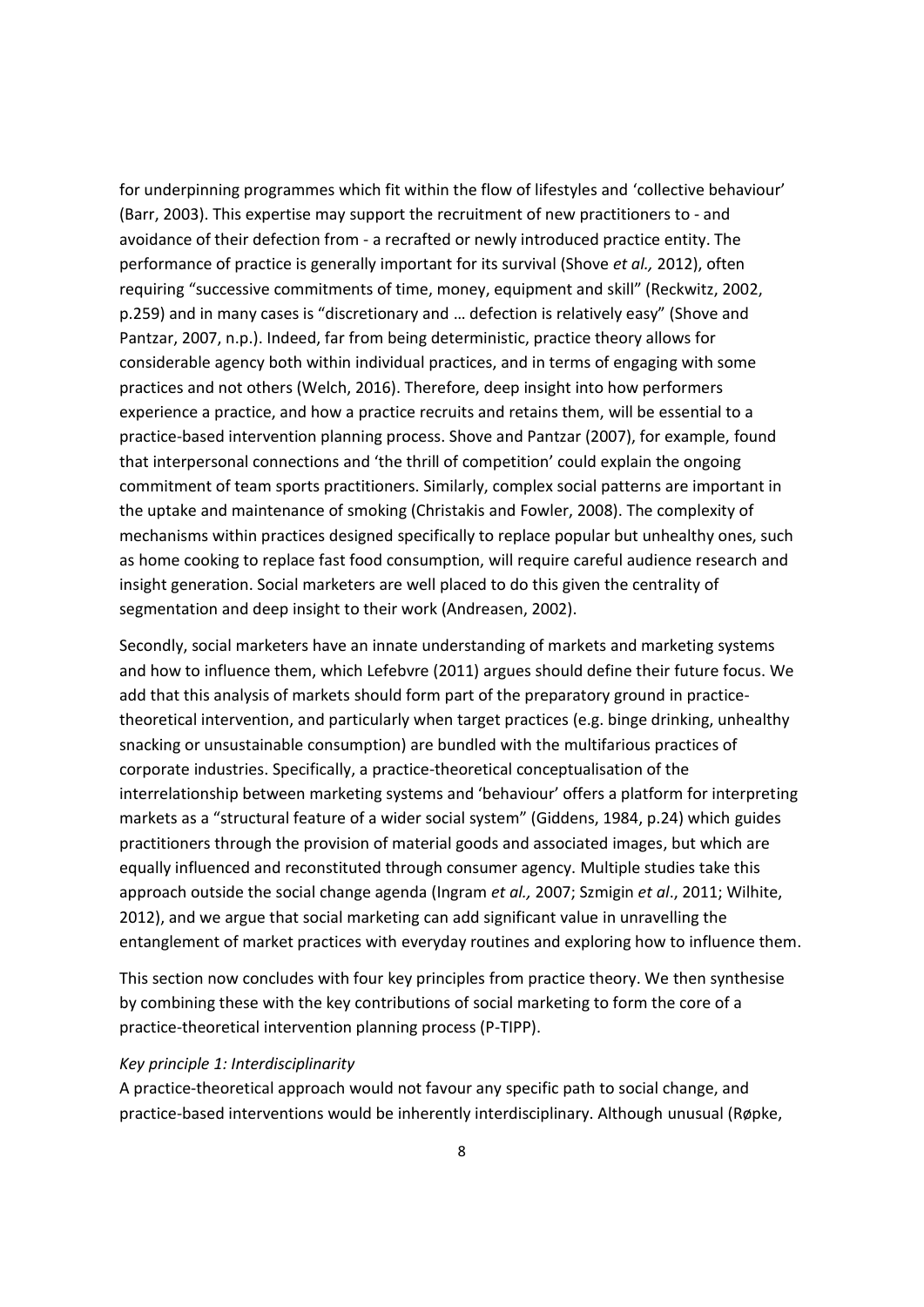for underpinning programmes which fit within the flow of lifestyles and 'collective behaviour' (Barr, 2003). This expertise may support the recruitment of new practitioners to - and avoidance of their defection from - a recrafted or newly introduced practice entity. The performance of practice is generally important for its survival (Shove *et al.,* 2012), often requiring "successive commitments of time, money, equipment and skill" (Reckwitz, 2002, p.259) and in many cases is "discretionary and … defection is relatively easy" (Shove and Pantzar, 2007, n.p.). Indeed, far from being deterministic, practice theory allows for considerable agency both within individual practices, and in terms of engaging with some practices and not others (Welch, 2016). Therefore, deep insight into how performers experience a practice, and how a practice recruits and retains them, will be essential to a practice-based intervention planning process. Shove and Pantzar (2007), for example, found that interpersonal connections and 'the thrill of competition' could explain the ongoing commitment of team sports practitioners. Similarly, complex social patterns are important in the uptake and maintenance of smoking (Christakis and Fowler, 2008). The complexity of mechanisms within practices designed specifically to replace popular but unhealthy ones, such as home cooking to replace fast food consumption, will require careful audience research and insight generation. Social marketers are well placed to do this given the centrality of segmentation and deep insight to their work (Andreasen, 2002).

Secondly, social marketers have an innate understanding of markets and marketing systems and how to influence them, which Lefebvre (2011) argues should define their future focus. We add that this analysis of markets should form part of the preparatory ground in practicetheoretical intervention, and particularly when target practices (e.g. binge drinking, unhealthy snacking or unsustainable consumption) are bundled with the multifarious practices of corporate industries. Specifically, a practice-theoretical conceptualisation of the interrelationship between marketing systems and 'behaviour' offers a platform for interpreting markets as a "structural feature of a wider social system" (Giddens, 1984, p.24) which guides practitioners through the provision of material goods and associated images, but which are equally influenced and reconstituted through consumer agency. Multiple studies take this approach outside the social change agenda (Ingram *et al.,* 2007; Szmigin *et al*., 2011; Wilhite, 2012), and we argue that social marketing can add significant value in unravelling the entanglement of market practices with everyday routines and exploring how to influence them.

This section now concludes with four key principles from practice theory. We then synthesise by combining these with the key contributions of social marketing to form the core of a practice-theoretical intervention planning process (P-TIPP).

#### *Key principle 1: Interdisciplinarity*

A practice-theoretical approach would not favour any specific path to social change, and practice-based interventions would be inherently interdisciplinary. Although unusual (Røpke,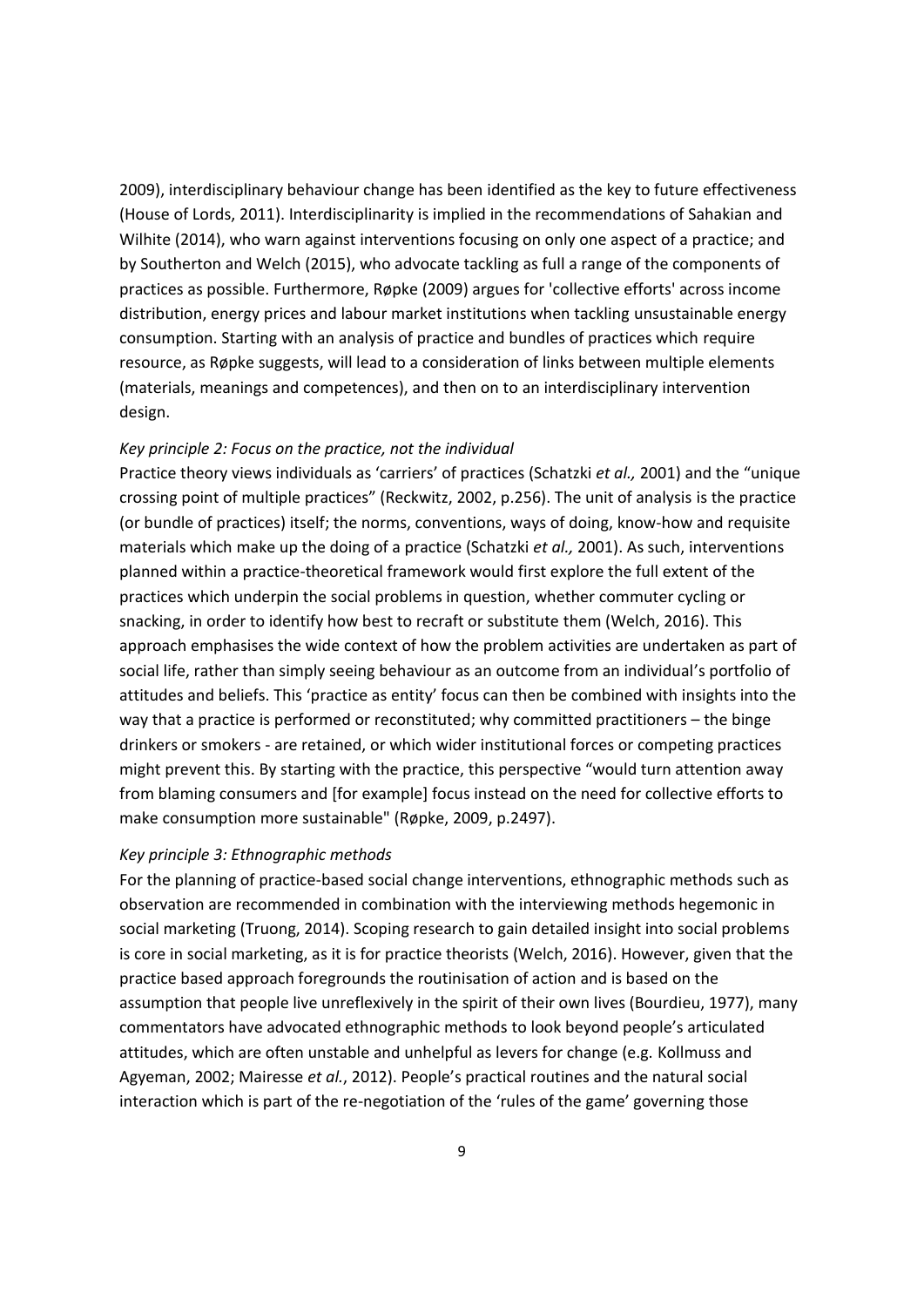2009), interdisciplinary behaviour change has been identified as the key to future effectiveness (House of Lords, 2011). Interdisciplinarity is implied in the recommendations of Sahakian and Wilhite (2014), who warn against interventions focusing on only one aspect of a practice; and by Southerton and Welch (2015), who advocate tackling as full a range of the components of practices as possible. Furthermore, Røpke (2009) argues for 'collective efforts' across income distribution, energy prices and labour market institutions when tackling unsustainable energy consumption. Starting with an analysis of practice and bundles of practices which require resource, as Røpke suggests, will lead to a consideration of links between multiple elements (materials, meanings and competences), and then on to an interdisciplinary intervention design.

## *Key principle 2: Focus on the practice, not the individual*

Practice theory views individuals as 'carriers' of practices (Schatzki *et al.,* 2001) and the "unique crossing point of multiple practices" (Reckwitz, 2002, p.256). The unit of analysis is the practice (or bundle of practices) itself; the norms, conventions, ways of doing, know-how and requisite materials which make up the doing of a practice (Schatzki *et al.,* 2001). As such, interventions planned within a practice-theoretical framework would first explore the full extent of the practices which underpin the social problems in question, whether commuter cycling or snacking, in order to identify how best to recraft or substitute them (Welch, 2016). This approach emphasises the wide context of how the problem activities are undertaken as part of social life, rather than simply seeing behaviour as an outcome from an individual's portfolio of attitudes and beliefs. This 'practice as entity' focus can then be combined with insights into the way that a practice is performed or reconstituted; why committed practitioners – the binge drinkers or smokers - are retained, or which wider institutional forces or competing practices might prevent this. By starting with the practice, this perspective "would turn attention away from blaming consumers and [for example] focus instead on the need for collective efforts to make consumption more sustainable" (Røpke, 2009, p.2497).

## *Key principle 3: Ethnographic methods*

For the planning of practice-based social change interventions, ethnographic methods such as observation are recommended in combination with the interviewing methods hegemonic in social marketing (Truong, 2014). Scoping research to gain detailed insight into social problems is core in social marketing, as it is for practice theorists (Welch, 2016). However, given that the practice based approach foregrounds the routinisation of action and is based on the assumption that people live unreflexively in the spirit of their own lives (Bourdieu, 1977), many commentators have advocated ethnographic methods to look beyond people's articulated attitudes, which are often unstable and unhelpful as levers for change (e.g. Kollmuss and Agyeman, 2002; Mairesse *et al.*, 2012). People's practical routines and the natural social interaction which is part of the re-negotiation of the 'rules of the game' governing those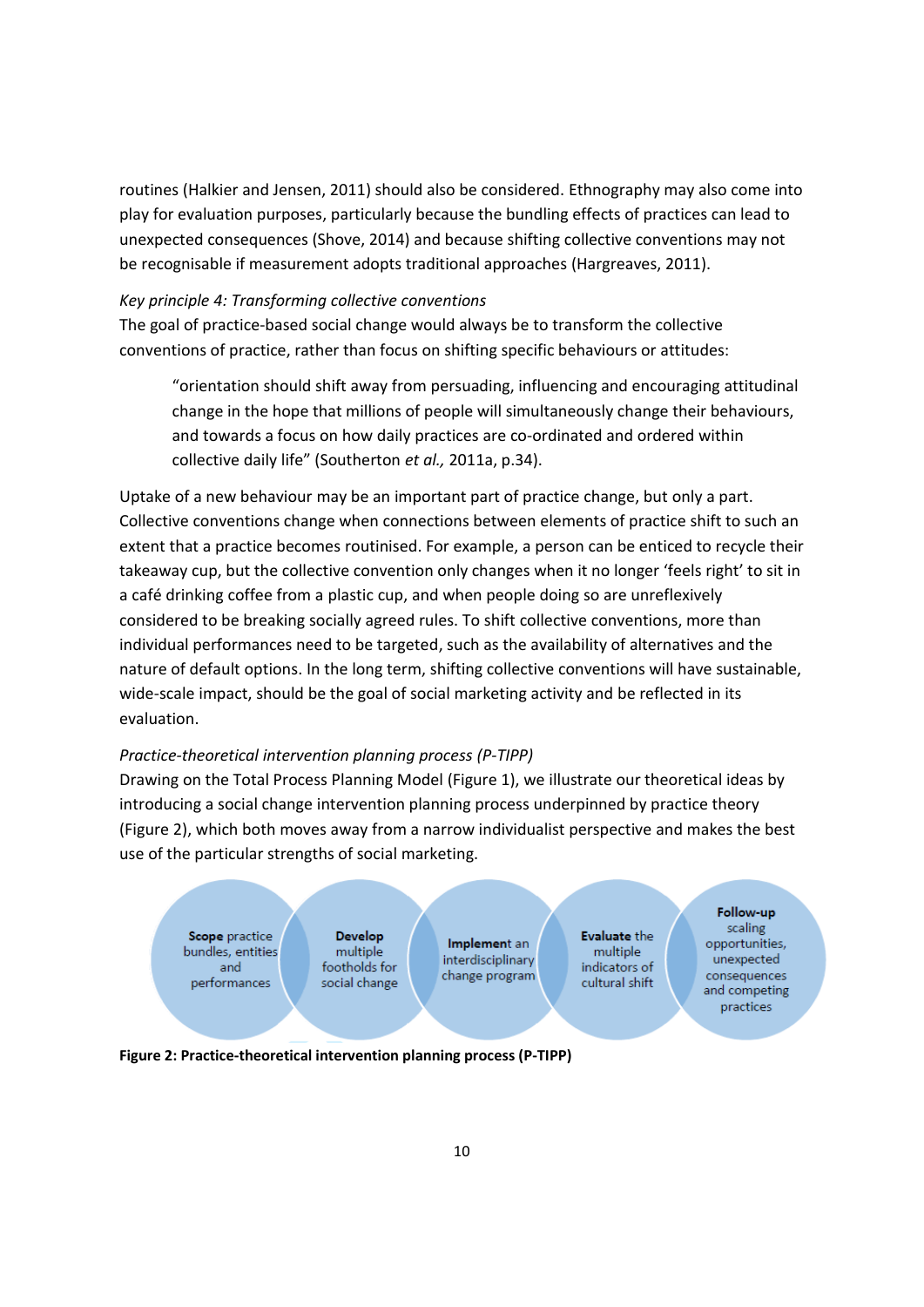routines (Halkier and Jensen, 2011) should also be considered. Ethnography may also come into play for evaluation purposes, particularly because the bundling effects of practices can lead to unexpected consequences (Shove, 2014) and because shifting collective conventions may not be recognisable if measurement adopts traditional approaches (Hargreaves, 2011).

## *Key principle 4: Transforming collective conventions*

The goal of practice-based social change would always be to transform the collective conventions of practice, rather than focus on shifting specific behaviours or attitudes:

"orientation should shift away from persuading, influencing and encouraging attitudinal change in the hope that millions of people will simultaneously change their behaviours, and towards a focus on how daily practices are co-ordinated and ordered within collective daily life" (Southerton *et al.,* 2011a, p.34).

Uptake of a new behaviour may be an important part of practice change, but only a part. Collective conventions change when connections between elements of practice shift to such an extent that a practice becomes routinised. For example, a person can be enticed to recycle their takeaway cup, but the collective convention only changes when it no longer 'feels right' to sit in a café drinking coffee from a plastic cup, and when people doing so are unreflexively considered to be breaking socially agreed rules. To shift collective conventions, more than individual performances need to be targeted, such as the availability of alternatives and the nature of default options. In the long term, shifting collective conventions will have sustainable, wide-scale impact, should be the goal of social marketing activity and be reflected in its evaluation.

# *Practice-theoretical intervention planning process (P-TIPP)*

Drawing on the Total Process Planning Model (Figure 1), we illustrate our theoretical ideas by introducing a social change intervention planning process underpinned by practice theory (Figure 2), which both moves away from a narrow individualist perspective and makes the best use of the particular strengths of social marketing.



**Figure 2: Practice-theoretical intervention planning process (P-TIPP)**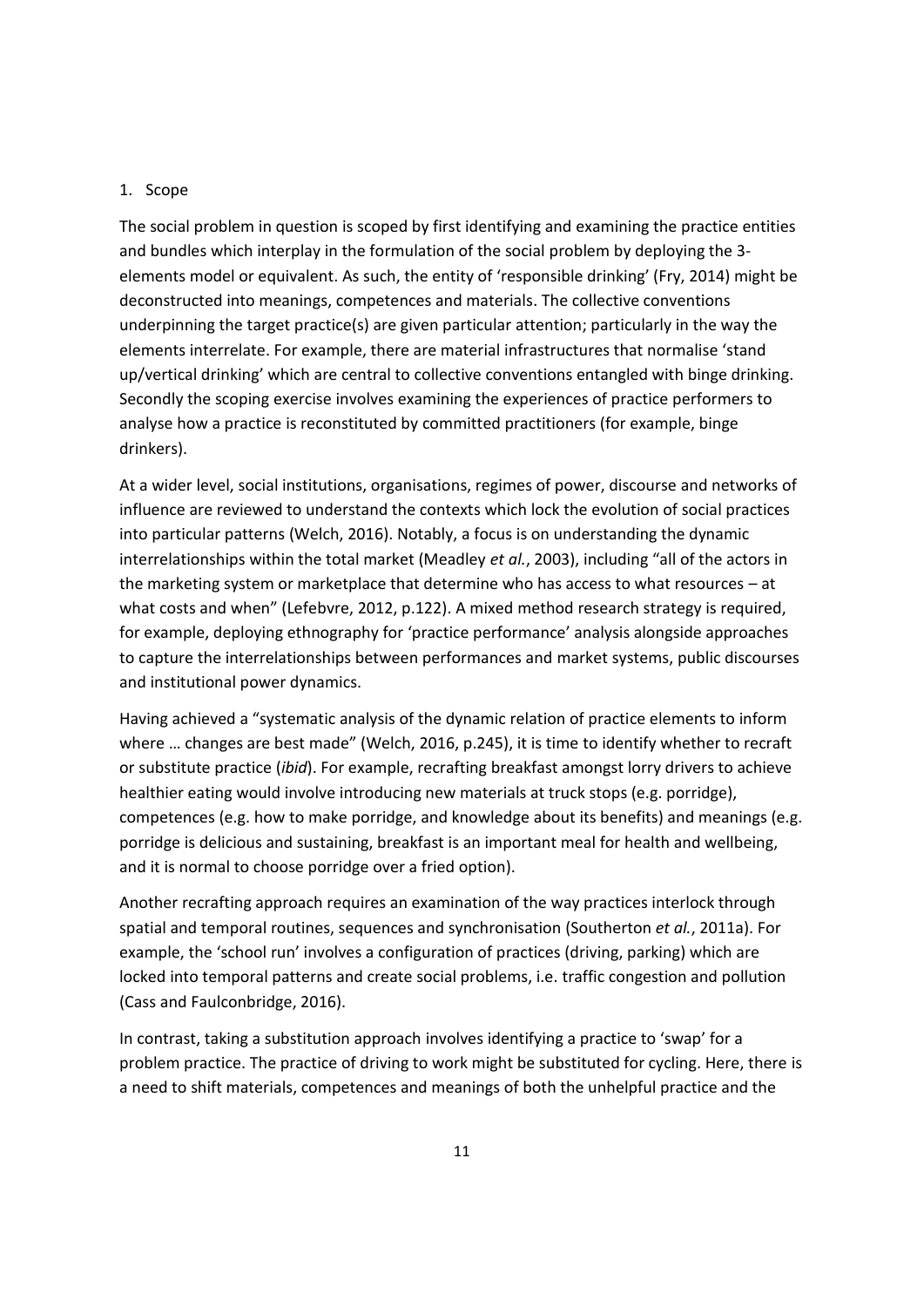#### 1. Scope

The social problem in question is scoped by first identifying and examining the practice entities and bundles which interplay in the formulation of the social problem by deploying the 3 elements model or equivalent. As such, the entity of 'responsible drinking' (Fry, 2014) might be deconstructed into meanings, competences and materials. The collective conventions underpinning the target practice(s) are given particular attention; particularly in the way the elements interrelate. For example, there are material infrastructures that normalise 'stand up/vertical drinking' which are central to collective conventions entangled with binge drinking. Secondly the scoping exercise involves examining the experiences of practice performers to analyse how a practice is reconstituted by committed practitioners (for example, binge drinkers).

At a wider level, social institutions, organisations, regimes of power, discourse and networks of influence are reviewed to understand the contexts which lock the evolution of social practices into particular patterns (Welch, 2016). Notably, a focus is on understanding the dynamic interrelationships within the total market (Meadley *et al.*, 2003), including "all of the actors in the marketing system or marketplace that determine who has access to what resources – at what costs and when" (Lefebvre, 2012, p.122). A mixed method research strategy is required, for example, deploying ethnography for 'practice performance' analysis alongside approaches to capture the interrelationships between performances and market systems, public discourses and institutional power dynamics.

Having achieved a "systematic analysis of the dynamic relation of practice elements to inform where … changes are best made" (Welch, 2016, p.245), it is time to identify whether to recraft or substitute practice (*ibid*). For example, recrafting breakfast amongst lorry drivers to achieve healthier eating would involve introducing new materials at truck stops (e.g. porridge), competences (e.g. how to make porridge, and knowledge about its benefits) and meanings (e.g. porridge is delicious and sustaining, breakfast is an important meal for health and wellbeing, and it is normal to choose porridge over a fried option).

Another recrafting approach requires an examination of the way practices interlock through spatial and temporal routines, sequences and synchronisation (Southerton *et al.*, 2011a). For example, the 'school run' involves a configuration of practices (driving, parking) which are locked into temporal patterns and create social problems, i.e. traffic congestion and pollution (Cass and Faulconbridge, 2016).

In contrast, taking a substitution approach involves identifying a practice to 'swap' for a problem practice. The practice of driving to work might be substituted for cycling. Here, there is a need to shift materials, competences and meanings of both the unhelpful practice and the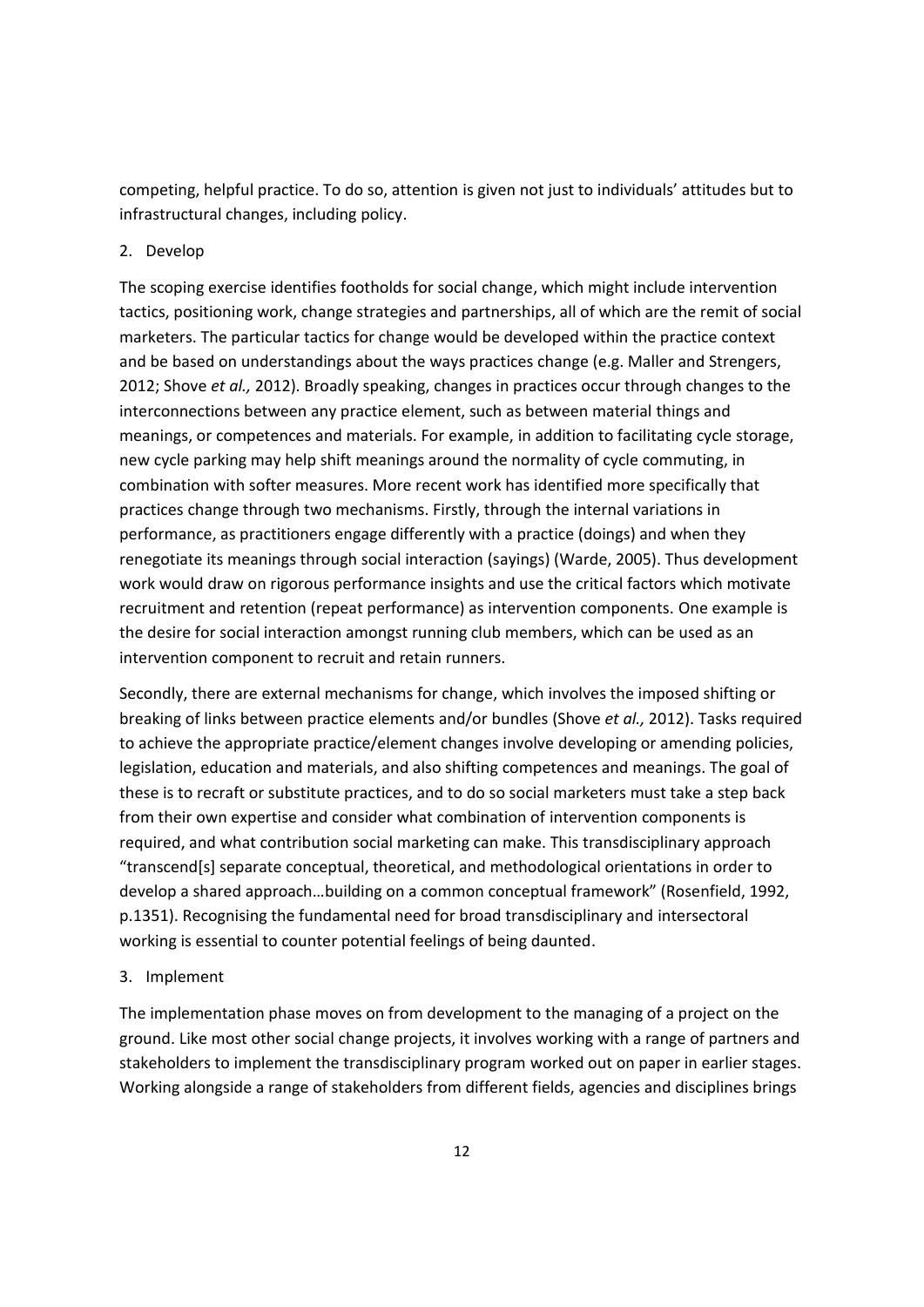competing, helpful practice. To do so, attention is given not just to individuals' attitudes but to infrastructural changes, including policy.

# 2. Develop

The scoping exercise identifies footholds for social change, which might include intervention tactics, positioning work, change strategies and partnerships, all of which are the remit of social marketers. The particular tactics for change would be developed within the practice context and be based on understandings about the ways practices change (e.g. Maller and Strengers, 2012; Shove *et al.,* 2012). Broadly speaking, changes in practices occur through changes to the interconnections between any practice element, such as between material things and meanings, or competences and materials. For example, in addition to facilitating cycle storage, new cycle parking may help shift meanings around the normality of cycle commuting, in combination with softer measures. More recent work has identified more specifically that practices change through two mechanisms. Firstly, through the internal variations in performance, as practitioners engage differently with a practice (doings) and when they renegotiate its meanings through social interaction (sayings) (Warde, 2005). Thus development work would draw on rigorous performance insights and use the critical factors which motivate recruitment and retention (repeat performance) as intervention components. One example is the desire for social interaction amongst running club members, which can be used as an intervention component to recruit and retain runners.

Secondly, there are external mechanisms for change, which involves the imposed shifting or breaking of links between practice elements and/or bundles (Shove *et al.,* 2012). Tasks required to achieve the appropriate practice/element changes involve developing or amending policies, legislation, education and materials, and also shifting competences and meanings. The goal of these is to recraft or substitute practices, and to do so social marketers must take a step back from their own expertise and consider what combination of intervention components is required, and what contribution social marketing can make. This transdisciplinary approach "transcend[s] separate conceptual, theoretical, and methodological orientations in order to develop a shared approach…building on a common conceptual framework" (Rosenfield, 1992, p.1351). Recognising the fundamental need for broad transdisciplinary and intersectoral working is essential to counter potential feelings of being daunted.

## 3. Implement

The implementation phase moves on from development to the managing of a project on the ground. Like most other social change projects, it involves working with a range of partners and stakeholders to implement the transdisciplinary program worked out on paper in earlier stages. Working alongside a range of stakeholders from different fields, agencies and disciplines brings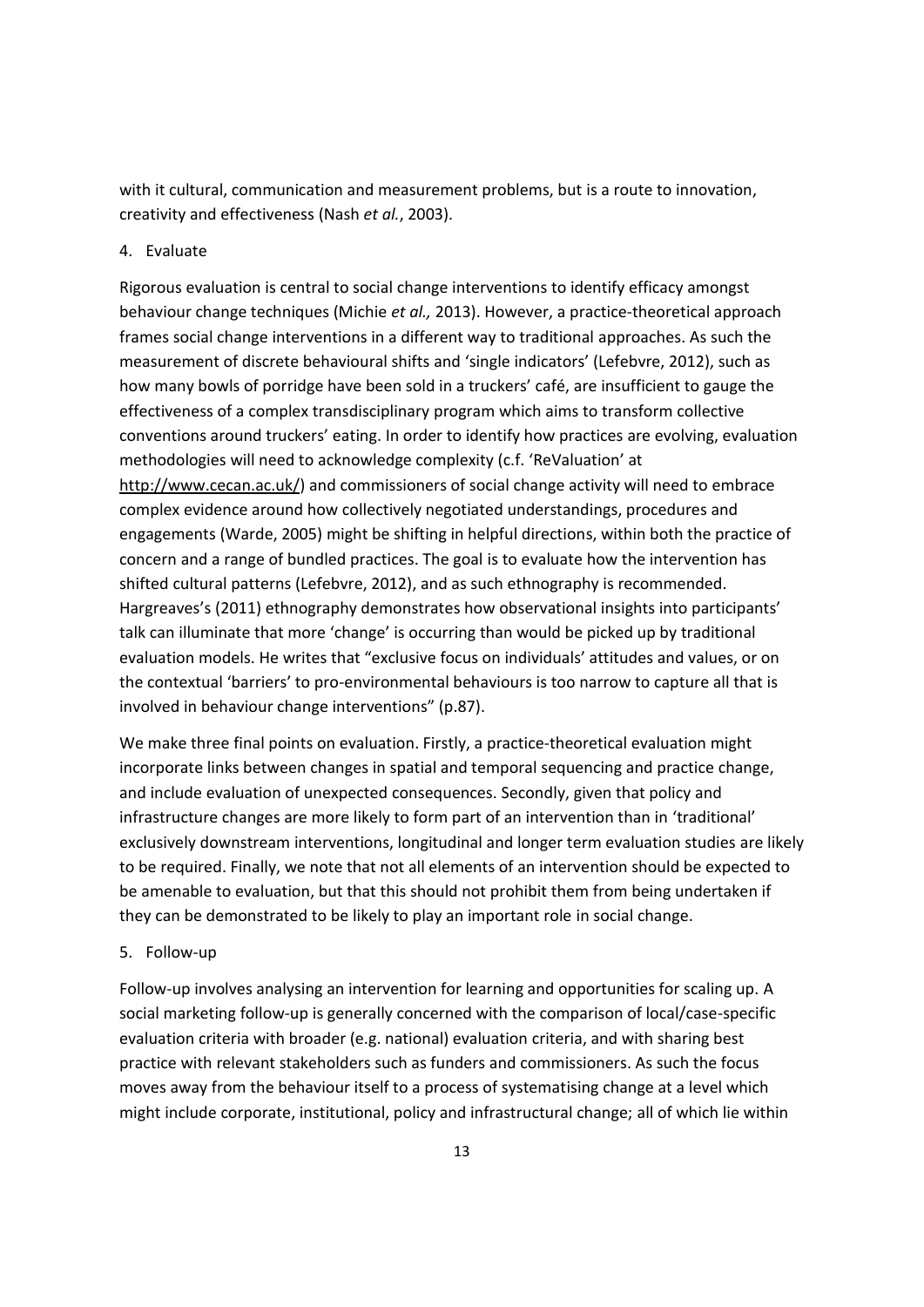with it cultural, communication and measurement problems, but is a route to innovation, creativity and effectiveness (Nash *et al.*, 2003).

## 4. Evaluate

Rigorous evaluation is central to social change interventions to identify efficacy amongst behaviour change techniques (Michie *et al.,* 2013). However, a practice-theoretical approach frames social change interventions in a different way to traditional approaches. As such the measurement of discrete behavioural shifts and 'single indicators' (Lefebvre, 2012), such as how many bowls of porridge have been sold in a truckers' café, are insufficient to gauge the effectiveness of a complex transdisciplinary program which aims to transform collective conventions around truckers' eating. In order to identify how practices are evolving, evaluation methodologies will need to acknowledge complexity (c.f. 'ReValuation' at http://www.cecan.ac.uk/) and commissioners of social change activity will need to embrace complex evidence around how collectively negotiated understandings, procedures and engagements (Warde, 2005) might be shifting in helpful directions, within both the practice of concern and a range of bundled practices. The goal is to evaluate how the intervention has shifted cultural patterns (Lefebvre, 2012), and as such ethnography is recommended. Hargreaves's (2011) ethnography demonstrates how observational insights into participants' talk can illuminate that more 'change' is occurring than would be picked up by traditional evaluation models. He writes that "exclusive focus on individuals' attitudes and values, or on the contextual 'barriers' to pro-environmental behaviours is too narrow to capture all that is involved in behaviour change interventions" (p.87).

We make three final points on evaluation. Firstly, a practice-theoretical evaluation might incorporate links between changes in spatial and temporal sequencing and practice change, and include evaluation of unexpected consequences. Secondly, given that policy and infrastructure changes are more likely to form part of an intervention than in 'traditional' exclusively downstream interventions, longitudinal and longer term evaluation studies are likely to be required. Finally, we note that not all elements of an intervention should be expected to be amenable to evaluation, but that this should not prohibit them from being undertaken if they can be demonstrated to be likely to play an important role in social change.

## 5. Follow-up

Follow-up involves analysing an intervention for learning and opportunities for scaling up. A social marketing follow-up is generally concerned with the comparison of local/case-specific evaluation criteria with broader (e.g. national) evaluation criteria, and with sharing best practice with relevant stakeholders such as funders and commissioners. As such the focus moves away from the behaviour itself to a process of systematising change at a level which might include corporate, institutional, policy and infrastructural change; all of which lie within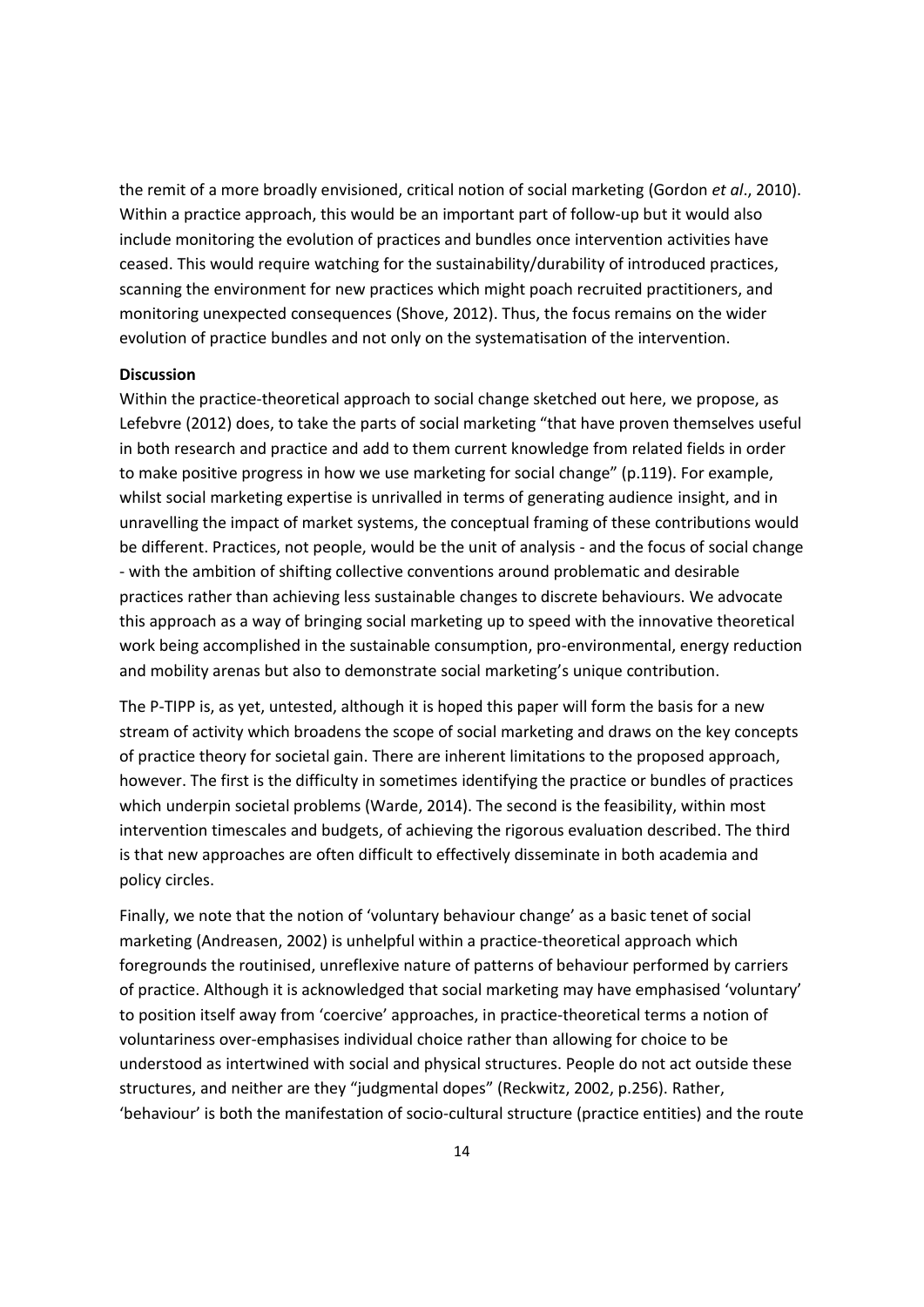the remit of a more broadly envisioned, critical notion of social marketing (Gordon *et al*., 2010). Within a practice approach, this would be an important part of follow-up but it would also include monitoring the evolution of practices and bundles once intervention activities have ceased. This would require watching for the sustainability/durability of introduced practices, scanning the environment for new practices which might poach recruited practitioners, and monitoring unexpected consequences (Shove, 2012). Thus, the focus remains on the wider evolution of practice bundles and not only on the systematisation of the intervention.

#### **Discussion**

Within the practice-theoretical approach to social change sketched out here, we propose, as Lefebvre (2012) does, to take the parts of social marketing "that have proven themselves useful in both research and practice and add to them current knowledge from related fields in order to make positive progress in how we use marketing for social change" (p.119). For example, whilst social marketing expertise is unrivalled in terms of generating audience insight, and in unravelling the impact of market systems, the conceptual framing of these contributions would be different. Practices, not people, would be the unit of analysis - and the focus of social change - with the ambition of shifting collective conventions around problematic and desirable practices rather than achieving less sustainable changes to discrete behaviours. We advocate this approach as a way of bringing social marketing up to speed with the innovative theoretical work being accomplished in the sustainable consumption, pro-environmental, energy reduction and mobility arenas but also to demonstrate social marketing's unique contribution.

The P-TIPP is, as yet, untested, although it is hoped this paper will form the basis for a new stream of activity which broadens the scope of social marketing and draws on the key concepts of practice theory for societal gain. There are inherent limitations to the proposed approach, however. The first is the difficulty in sometimes identifying the practice or bundles of practices which underpin societal problems (Warde, 2014). The second is the feasibility, within most intervention timescales and budgets, of achieving the rigorous evaluation described. The third is that new approaches are often difficult to effectively disseminate in both academia and policy circles.

Finally, we note that the notion of 'voluntary behaviour change' as a basic tenet of social marketing (Andreasen, 2002) is unhelpful within a practice-theoretical approach which foregrounds the routinised, unreflexive nature of patterns of behaviour performed by carriers of practice. Although it is acknowledged that social marketing may have emphasised 'voluntary' to position itself away from 'coercive' approaches, in practice-theoretical terms a notion of voluntariness over-emphasises individual choice rather than allowing for choice to be understood as intertwined with social and physical structures. People do not act outside these structures, and neither are they "judgmental dopes" (Reckwitz, 2002, p.256). Rather, 'behaviour' is both the manifestation of socio-cultural structure (practice entities) and the route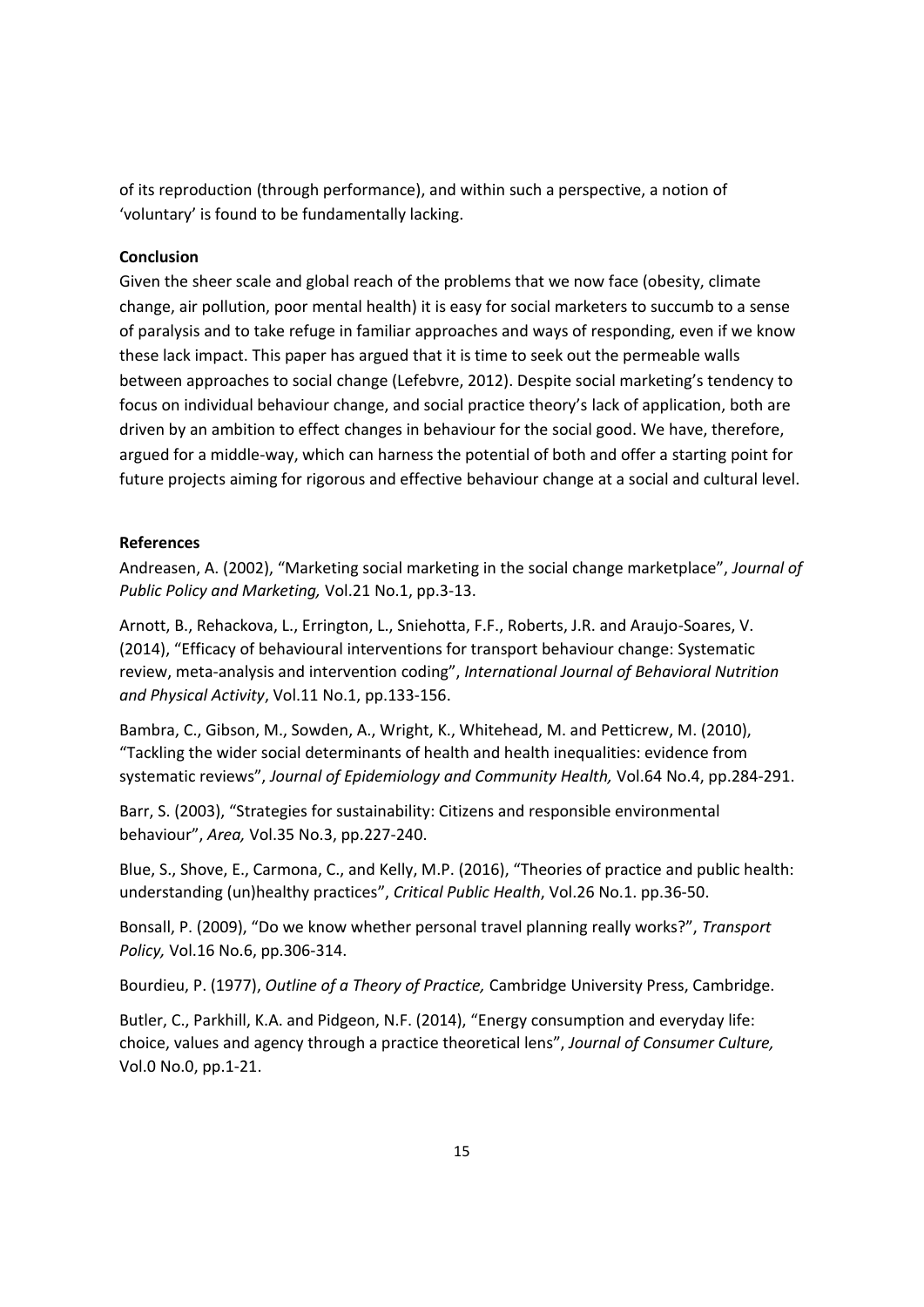of its reproduction (through performance), and within such a perspective, a notion of 'voluntary' is found to be fundamentally lacking.

## **Conclusion**

Given the sheer scale and global reach of the problems that we now face (obesity, climate change, air pollution, poor mental health) it is easy for social marketers to succumb to a sense of paralysis and to take refuge in familiar approaches and ways of responding, even if we know these lack impact. This paper has argued that it is time to seek out the permeable walls between approaches to social change (Lefebvre, 2012). Despite social marketing's tendency to focus on individual behaviour change, and social practice theory's lack of application, both are driven by an ambition to effect changes in behaviour for the social good. We have, therefore, argued for a middle-way, which can harness the potential of both and offer a starting point for future projects aiming for rigorous and effective behaviour change at a social and cultural level.

## **References**

Andreasen, A. (2002), "Marketing social marketing in the social change marketplace", *Journal of Public Policy and Marketing,* Vol.21 No.1, pp.3-13.

Arnott, B., Rehackova, L., Errington, L., Sniehotta, F.F., Roberts, J.R. and Araujo-Soares, V. (2014), "Efficacy of behavioural interventions for transport behaviour change: Systematic review, meta-analysis and intervention coding", *International Journal of Behavioral Nutrition and Physical Activity*, Vol.11 No.1, pp.133-156.

Bambra, C., Gibson, M., Sowden, A., Wright, K., Whitehead, M. and Petticrew, M. (2010), "Tackling the wider social determinants of health and health inequalities: evidence from systematic reviews", *Journal of Epidemiology and Community Health,* Vol.64 No.4, pp.284-291.

Barr, S. (2003), "Strategies for sustainability: Citizens and responsible environmental behaviour", *Area,* Vol.35 No.3, pp.227-240.

Blue, S., Shove, E., Carmona, C., and Kelly, M.P. (2016), "Theories of practice and public health: understanding (un)healthy practices", *Critical Public Health*, Vol.26 No.1. pp.36-50.

Bonsall, P. (2009), "Do we know whether personal travel planning really works?", *Transport Policy,* Vol.16 No.6, pp.306-314.

Bourdieu, P. (1977), *Outline of a Theory of Practice,* Cambridge University Press, Cambridge.

Butler, C., Parkhill, K.A. and Pidgeon, N.F. (2014), "Energy consumption and everyday life: choice, values and agency through a practice theoretical lens", *Journal of Consumer Culture,*  Vol.0 No.0, pp.1-21.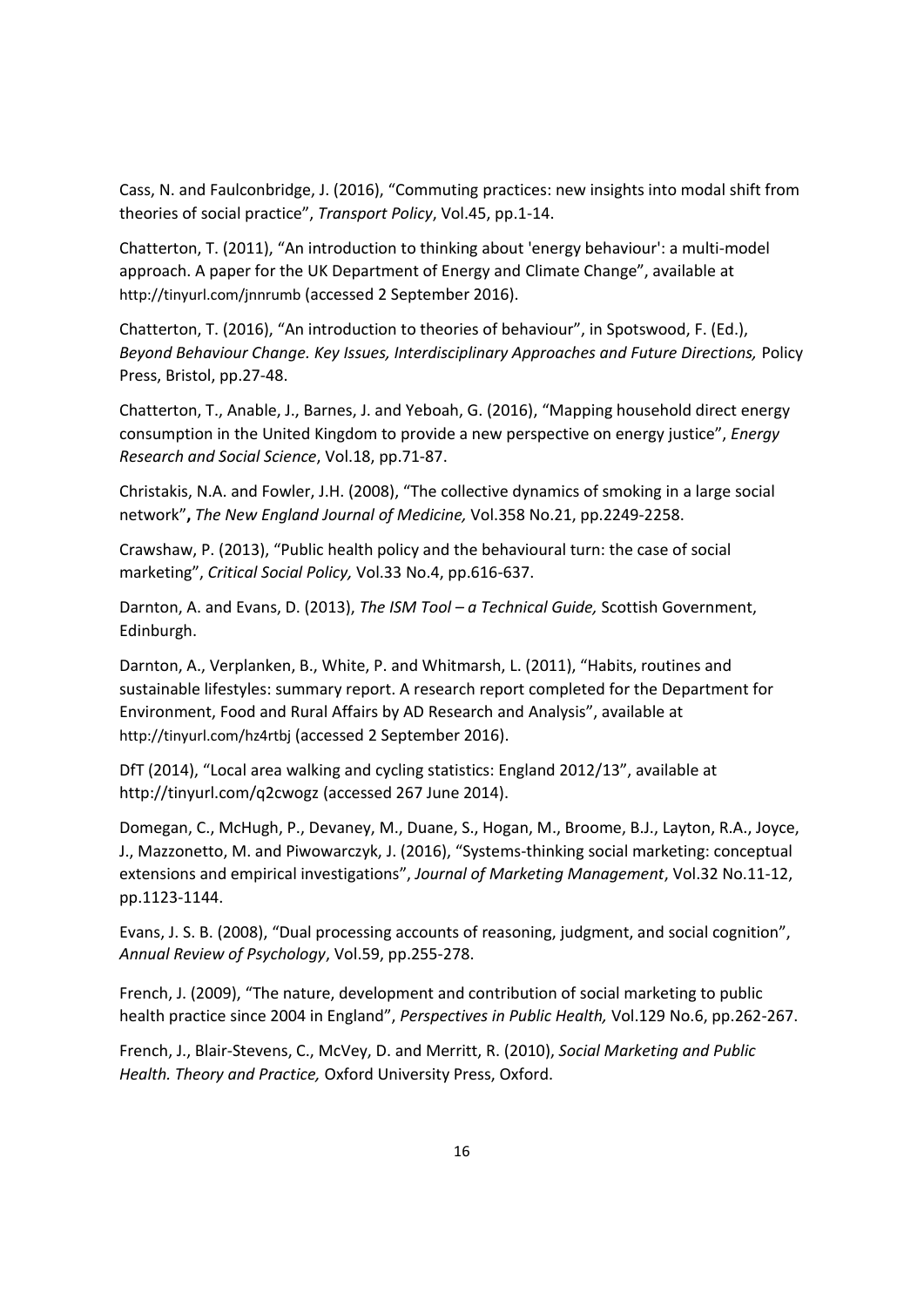Cass, N. and Faulconbridge, J. (2016), "Commuting practices: new insights into modal shift from theories of social practice", *Transport Policy*, Vol.45, pp.1-14.

Chatterton, T. (2011), "An introduction to thinking about 'energy behaviour': a multi-model approach. A paper for the UK Department of Energy and Climate Change", available at http://tinyurl.com/jnnrumb (accessed 2 September 2016).

Chatterton, T. (2016), "An introduction to theories of behaviour", in Spotswood, F. (Ed.), *Beyond Behaviour Change. Key Issues, Interdisciplinary Approaches and Future Directions,* Policy Press, Bristol, pp.27-48.

Chatterton, T., Anable, J., Barnes, J. and Yeboah, G. (2016), "Mapping household direct energy consumption in the United Kingdom to provide a new perspective on energy justice", *Energy Research and Social Science*, Vol.18, pp.71-87.

Christakis, N.A. and Fowler, J.H. (2008), "The collective dynamics of smoking in a large social network"**,** *The New England Journal of Medicine,* Vol.358 No.21, pp.2249-2258.

Crawshaw, P. (2013), "Public health policy and the behavioural turn: the case of social marketing", *Critical Social Policy,* Vol.33 No.4, pp.616-637.

Darnton, A. and Evans, D. (2013), *The ISM Tool – a Technical Guide,* Scottish Government, Edinburgh.

Darnton, A., Verplanken, B., White, P. and Whitmarsh, L. (2011), "Habits, routines and sustainable lifestyles: summary report. A research report completed for the Department for Environment, Food and Rural Affairs by AD Research and Analysis", available at http://tinyurl.com/hz4rtbj (accessed 2 September 2016).

DfT (2014), "Local area walking and cycling statistics: England 2012/13", available at http://tinyurl.com/q2cwogz (accessed 267 June 2014).

Domegan, C., McHugh, P., Devaney, M., Duane, S., Hogan, M., Broome, B.J., Layton, R.A., Joyce, J., Mazzonetto, M. and Piwowarczyk, J. (2016), "Systems-thinking social marketing: conceptual extensions and empirical investigations", *Journal of Marketing Management*, Vol.32 No.11-12, pp.1123-1144.

Evans, J. S. B. (2008), "Dual processing accounts of reasoning, judgment, and social cognition", *Annual Review of Psychology*, Vol.59, pp.255-278.

French, J. (2009), "The nature, development and contribution of social marketing to public health practice since 2004 in England", *Perspectives in Public Health,* Vol.129 No.6, pp.262-267.

French, J., Blair-Stevens, C., McVey, D. and Merritt, R. (2010), *Social Marketing and Public Health. Theory and Practice,* Oxford University Press, Oxford.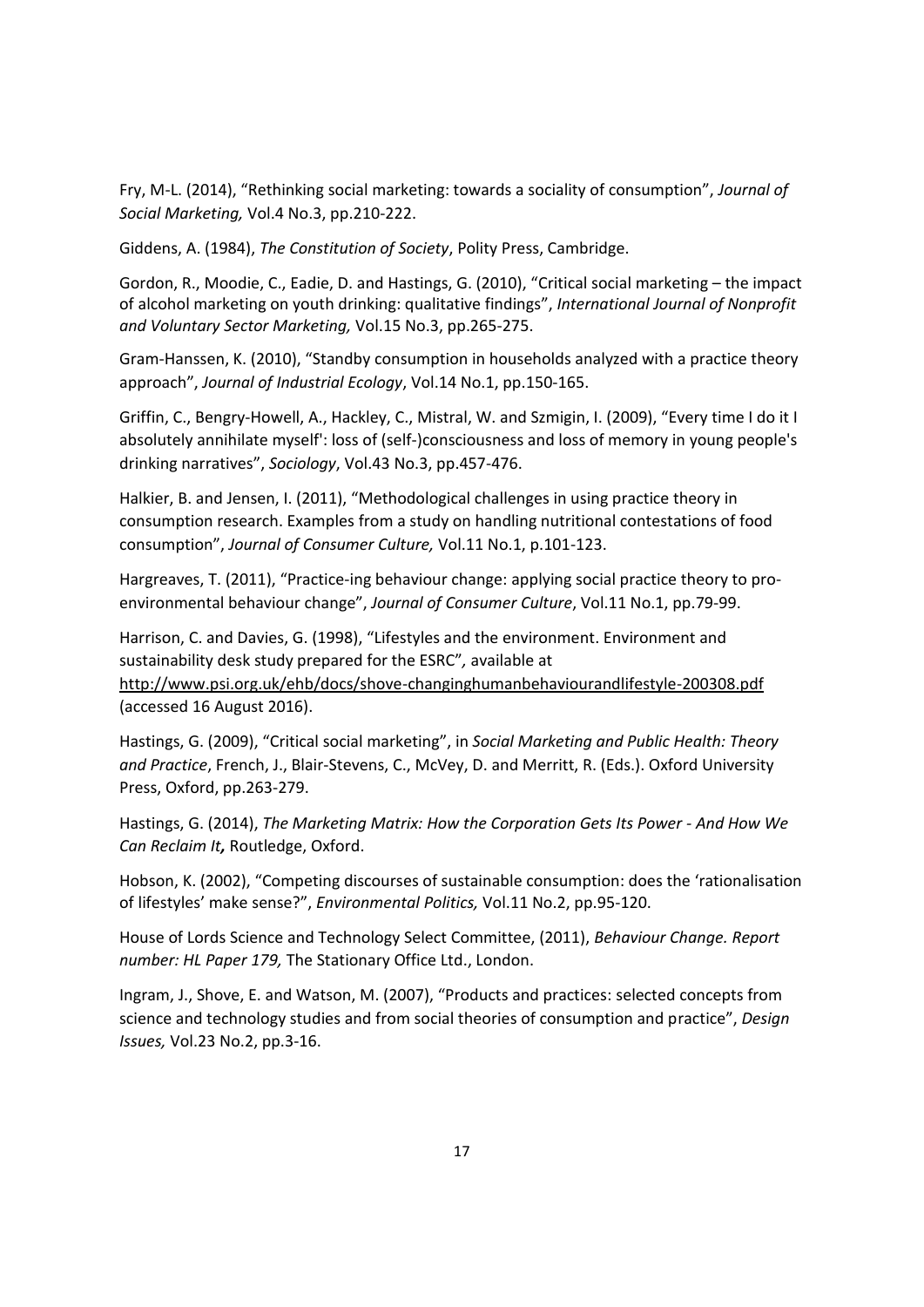Fry, M-L. (2014), "Rethinking social marketing: towards a sociality of consumption", *Journal of Social Marketing,* Vol.4 No.3, pp.210-222.

Giddens, A. (1984), *The Constitution of Society*, Polity Press, Cambridge.

Gordon, R., Moodie, C., Eadie, D. and Hastings, G. (2010), "Critical social marketing – the impact of alcohol marketing on youth drinking: qualitative findings", *International Journal of Nonprofit and Voluntary Sector Marketing,* Vol.15 No.3, pp.265-275.

Gram-Hanssen, K. (2010), "Standby consumption in households analyzed with a practice theory approach", *Journal of Industrial Ecology*, Vol.14 No.1, pp.150-165.

Griffin, C., Bengry-Howell, A., Hackley, C., Mistral, W. and Szmigin, I. (2009), "Every time I do it I absolutely annihilate myself': loss of (self-)consciousness and loss of memory in young people's drinking narratives", *Sociology*, Vol.43 No.3, pp.457-476.

Halkier, B. and Jensen, I. (2011), "Methodological challenges in using practice theory in consumption research. Examples from a study on handling nutritional contestations of food consumption", *Journal of Consumer Culture,* Vol.11 No.1, p.101-123.

Hargreaves, T. (2011), "Practice-ing behaviour change: applying social practice theory to proenvironmental behaviour change", *Journal of Consumer Culture*, Vol.11 No.1, pp.79-99.

Harrison, C. and Davies, G. (1998), "Lifestyles and the environment. Environment and sustainability desk study prepared for the ESRC"*,* available at http://www.psi.org.uk/ehb/docs/shove-changinghumanbehaviourandlifestyle-200308.pdf (accessed 16 August 2016).

Hastings, G. (2009), "Critical social marketing", in *Social Marketing and Public Health: Theory and Practice*, French, J., Blair-Stevens, C., McVey, D. and Merritt, R. (Eds.). Oxford University Press, Oxford, pp.263-279.

Hastings, G. (2014), *The Marketing Matrix: How the Corporation Gets Its Power - And How We Can Reclaim It,* Routledge, Oxford.

Hobson, K. (2002), "Competing discourses of sustainable consumption: does the 'rationalisation of lifestyles' make sense?", *Environmental Politics,* Vol.11 No.2, pp.95-120.

House of Lords Science and Technology Select Committee, (2011), *Behaviour Change. Report number: HL Paper 179,* The Stationary Office Ltd., London.

Ingram, J., Shove, E. and Watson, M. (2007), "Products and practices: selected concepts from science and technology studies and from social theories of consumption and practice", *Design Issues,* Vol.23 No.2, pp.3-16.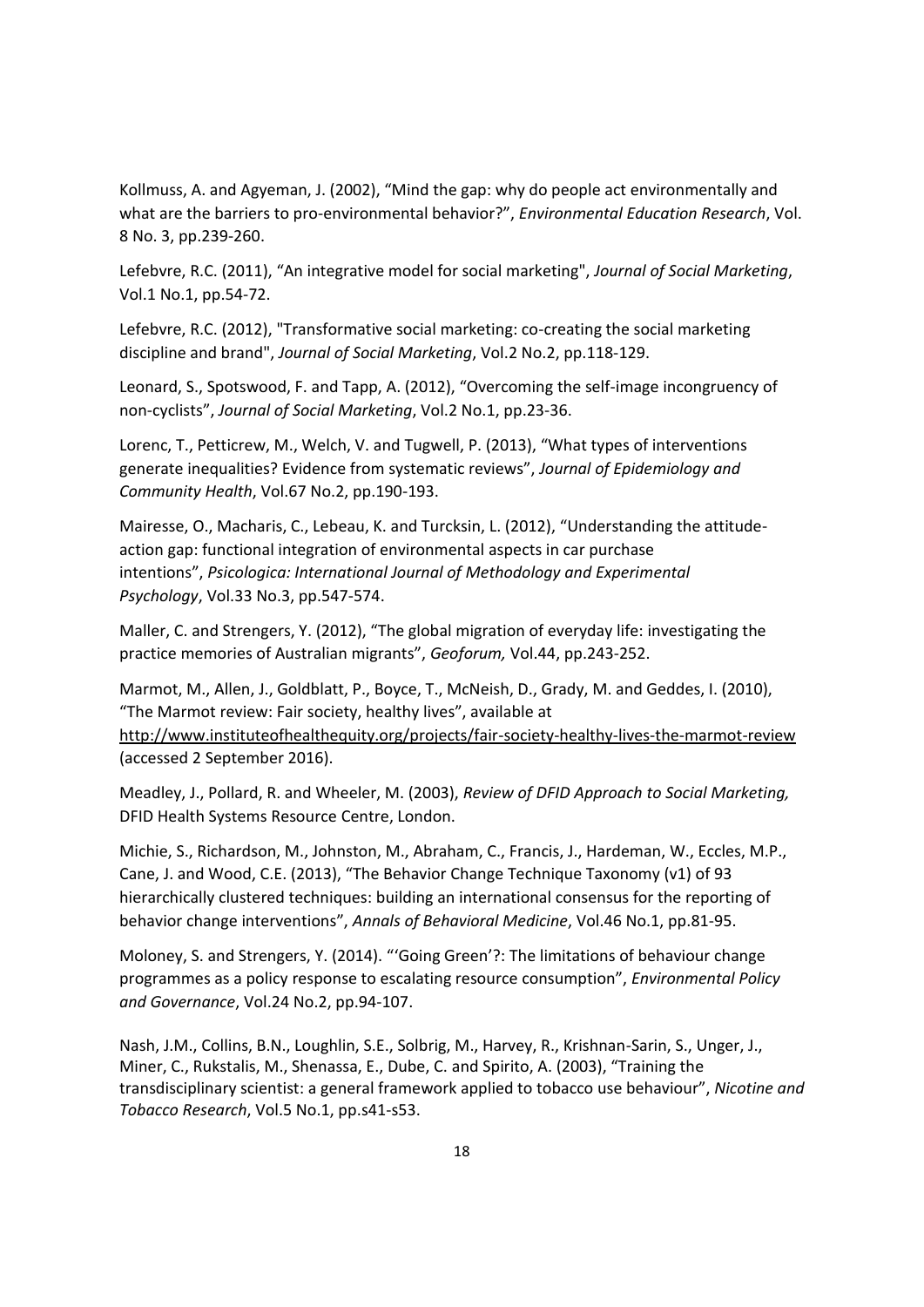Kollmuss, A. and Agyeman, J. (2002), "Mind the gap: why do people act environmentally and what are the barriers to pro-environmental behavior?", *Environmental Education Research*, Vol. 8 No. 3, pp.239-260.

Lefebvre, R.C. (2011), "An integrative model for social marketing", *Journal of Social Marketing*, Vol.1 No.1, pp.54-72.

Lefebvre, R.C. (2012), "Transformative social marketing: co-creating the social marketing discipline and brand", *Journal of Social Marketing*, Vol.2 No.2, pp.118-129.

Leonard, S., Spotswood, F. and Tapp, A. (2012), "Overcoming the self‐image incongruency of non‐cyclists", *Journal of Social Marketing*, Vol.2 No.1, pp.23-36.

Lorenc, T., Petticrew, M., Welch, V. and Tugwell, P. (2013), "What types of interventions generate inequalities? Evidence from systematic reviews", *Journal of Epidemiology and Community Health*, Vol.67 No.2, pp.190-193.

Mairesse, O., Macharis, C., Lebeau, K. and Turcksin, L. (2012), "Understanding the attitudeaction gap: functional integration of environmental aspects in car purchase intentions", *Psicologica: International Journal of Methodology and Experimental Psychology*, Vol.33 No.3, pp.547-574.

Maller, C. and Strengers, Y. (2012), "The global migration of everyday life: investigating the practice memories of Australian migrants", *Geoforum,* Vol.44, pp.243-252.

Marmot, M., Allen, J., Goldblatt, P., Boyce, T., McNeish, D., Grady, M. and Geddes, I. (2010), "The Marmot review: Fair society, healthy lives", available at http://www.instituteofhealthequity.org/projects/fair-society-healthy-lives-the-marmot-review (accessed 2 September 2016).

Meadley, J., Pollard, R. and Wheeler, M. (2003), *Review of DFID Approach to Social Marketing,* DFID Health Systems Resource Centre, London.

Michie, S., Richardson, M., Johnston, M., Abraham, C., Francis, J., Hardeman, W., Eccles, M.P., Cane, J. and Wood, C.E. (2013), "The Behavior Change Technique Taxonomy (v1) of 93 hierarchically clustered techniques: building an international consensus for the reporting of behavior change interventions", *Annals of Behavioral Medicine*, Vol.46 No.1, pp.81-95.

Moloney, S. and Strengers, Y. (2014). "'Going Green'?: The limitations of behaviour change programmes as a policy response to escalating resource consumption", *Environmental Policy and Governance*, Vol.24 No.2, pp.94-107.

Nash, J.M., Collins, B.N., Loughlin, S.E., Solbrig, M., Harvey, R., Krishnan-Sarin, S., Unger, J., Miner, C., Rukstalis, M., Shenassa, E., Dube, C. and Spirito, A. (2003), "Training the transdisciplinary scientist: a general framework applied to tobacco use behaviour", *Nicotine and Tobacco Research*, Vol.5 No.1, pp.s41-s53.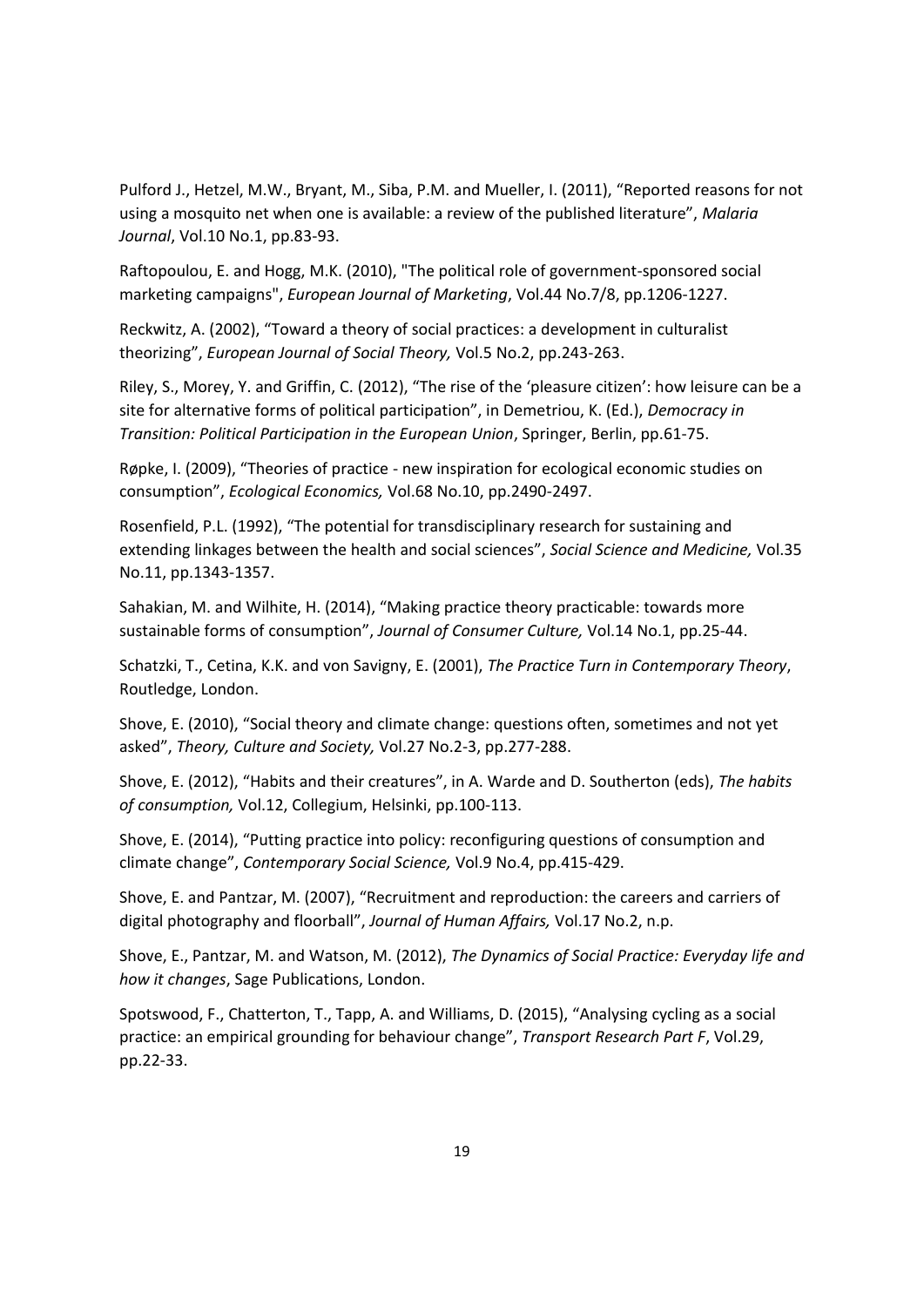Pulford J., Hetzel, M.W., Bryant, M., Siba, P.M. and Mueller, I. (2011), "Reported reasons for not using a mosquito net when one is available: a review of the published literature", *Malaria Journal*, Vol.10 No.1, pp.83-93.

Raftopoulou, E. and Hogg, M.K. (2010), "The political role of government‐sponsored social marketing campaigns", *European Journal of Marketing*, Vol.44 No.7/8, pp.1206-1227.

Reckwitz, A. (2002), "Toward a theory of social practices: a development in culturalist theorizing", *European Journal of Social Theory,* Vol.5 No.2, pp.243-263.

Riley, S., Morey, Y. and Griffin, C. (2012), "The rise of the 'pleasure citizen': how leisure can be a site for alternative forms of political participation", in Demetriou, K. (Ed.), *Democracy in Transition: Political Participation in the European Union*, Springer, Berlin, pp.61-75.

Røpke, I. (2009), "Theories of practice - new inspiration for ecological economic studies on consumption", *Ecological Economics,* Vol.68 No.10, pp.2490-2497.

Rosenfield, P.L. (1992), "The potential for transdisciplinary research for sustaining and extending linkages between the health and social sciences", *Social Science and Medicine,* Vol.35 No.11, pp.1343-1357.

Sahakian, M. and Wilhite, H. (2014), "Making practice theory practicable: towards more sustainable forms of consumption", *Journal of Consumer Culture,* Vol.14 No.1, pp.25-44.

Schatzki, T., Cetina, K.K. and von Savigny, E. (2001), *The Practice Turn in Contemporary Theory*, Routledge, London.

Shove, E. (2010), "Social theory and climate change: questions often, sometimes and not yet asked", *Theory, Culture and Society,* Vol.27 No.2-3, pp.277-288.

Shove, E. (2012), "Habits and their creatures", in A. Warde and D. Southerton (eds), *The habits of consumption,* Vol.12, Collegium, Helsinki, pp.100-113.

Shove, E. (2014), "Putting practice into policy: reconfiguring questions of consumption and climate change", *Contemporary Social Science,* Vol.9 No.4, pp.415-429.

Shove, E. and Pantzar, M. (2007), "Recruitment and reproduction: the careers and carriers of digital photography and floorball", *Journal of Human Affairs,* Vol.17 No.2, n.p.

Shove, E., Pantzar, M. and Watson, M. (2012), *The Dynamics of Social Practice: Everyday life and how it changes*, Sage Publications, London.

Spotswood, F., Chatterton, T., Tapp, A. and Williams, D. (2015), "Analysing cycling as a social practice: an empirical grounding for behaviour change", *Transport Research Part F*, Vol.29, pp.22-33.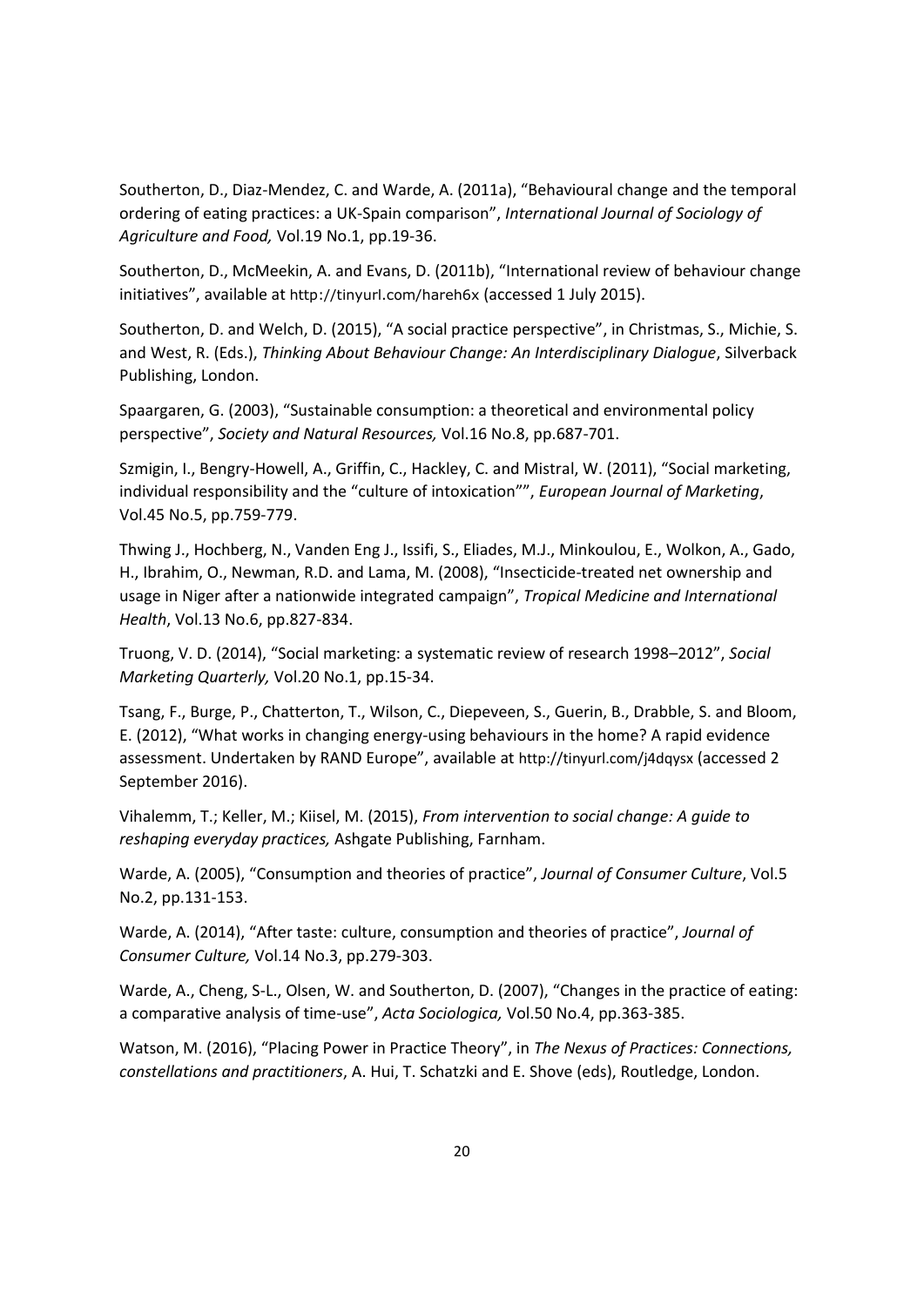Southerton, D., Diaz-Mendez, C. and Warde, A. (2011a), "Behavioural change and the temporal ordering of eating practices: a UK-Spain comparison", *International Journal of Sociology of Agriculture and Food,* Vol.19 No.1, pp.19-36.

Southerton, D., McMeekin, A. and Evans, D. (2011b), "International review of behaviour change initiatives", available at http://tinyurl.com/hareh6x (accessed 1 July 2015).

Southerton, D. and Welch, D. (2015), "A social practice perspective", in Christmas, S., Michie, S. and West, R. (Eds.), *Thinking About Behaviour Change: An Interdisciplinary Dialogue*, Silverback Publishing, London.

Spaargaren, G. (2003), "Sustainable consumption: a theoretical and environmental policy perspective", *Society and Natural Resources,* Vol.16 No.8, pp.687-701.

Szmigin, I., Bengry-Howell, A., Griffin, C., Hackley, C. and Mistral, W. (2011), "Social marketing, individual responsibility and the "culture of intoxication"", *European Journal of Marketing*, Vol.45 No.5, pp.759-779.

Thwing J., Hochberg, N., Vanden Eng J., Issifi, S., Eliades, M.J., Minkoulou, E., Wolkon, A., Gado, H., Ibrahim, O., Newman, R.D. and Lama, M. (2008), "Insecticide-treated net ownership and usage in Niger after a nationwide integrated campaign", *Tropical Medicine and International Health*, Vol.13 No.6, pp.827-834.

Truong, V. D. (2014), "Social marketing: a systematic review of research 1998–2012", *Social Marketing Quarterly,* Vol.20 No.1, pp.15-34.

Tsang, F., Burge, P., Chatterton, T., Wilson, C., Diepeveen, S., Guerin, B., Drabble, S. and Bloom, E. (2012), "What works in changing energy-using behaviours in the home? A rapid evidence assessment. Undertaken by RAND Europe", available at http://tinyurl.com/j4dqysx (accessed 2 September 2016).

Vihalemm, T.; Keller, M.; Kiisel, M. (2015), *From intervention to social change: A guide to reshaping everyday practices,* Ashgate Publishing, Farnham.

Warde, A. (2005), "Consumption and theories of practice", *Journal of Consumer Culture*, Vol.5 No.2, pp.131-153.

Warde, A. (2014), "After taste: culture, consumption and theories of practice", *Journal of Consumer Culture,* Vol.14 No.3, pp.279-303.

Warde, A., Cheng, S-L., Olsen, W. and Southerton, D. (2007), "Changes in the practice of eating: a comparative analysis of time-use", *Acta Sociologica,* Vol.50 No.4, pp.363-385.

Watson, M. (2016), "Placing Power in Practice Theory", in *The Nexus of Practices: Connections, constellations and practitioners*, A. Hui, T. Schatzki and E. Shove (eds), Routledge, London.